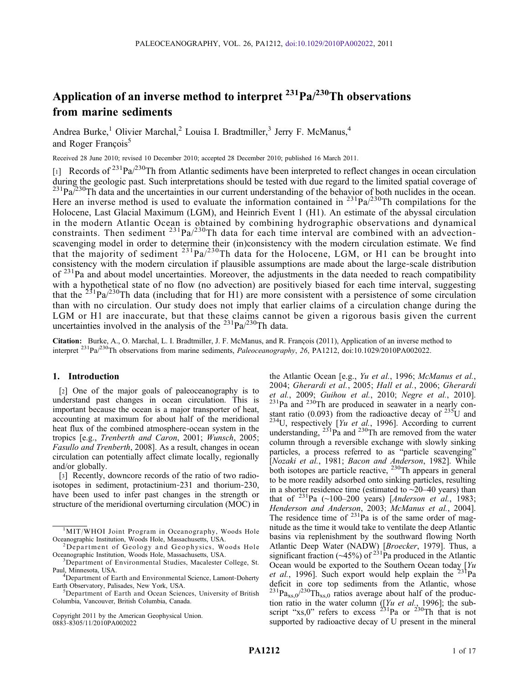# Application of an inverse method to interpret  $^{231}Pa/^{230}Th$  observations from marine sediments

Andrea Burke,<sup>1</sup> Olivier Marchal,<sup>2</sup> Louisa I. Bradtmiller,<sup>3</sup> Jerry F. McManus,<sup>4</sup> and Roger Francois<sup>5</sup>

Received 28 June 2010; revised 10 December 2010; accepted 28 December 2010; published 16 March 2011.

[1] Records of  $2^{31}Pa/2^{30}Th$  from Atlantic sediments have been interpreted to reflect changes in ocean circulation during the geologic past. Such interpretations should be tested with due regard to the limited spatial coverage of  $^{231}Pa^{230}Th$  data and the uncertainties in our current understanding of the behavior of both nuclides in the ocean. Here an inverse method is used to evaluate the information contained in  $^{231}Pa^{230}Th$  compilations for the Holocene, Last Glacial Maximum (LGM), and Heinrich Event 1 (H1). An estimate of the abyssal circulation in the modern Atlantic Ocean is obtained by combining hydrographic observations and dynamical constraints. Then sediment  $^{231}Pa^{230}Th$  data for each time interval are combined with an advectionscavenging model in order to determine their (in)consistency with the modern circulation estimate. We find that the majority of sediment  $^{231}Pa^{230}Th$  data for the Holocene, LGM, or H1 can be brought into consistency with the modern circulation if plausible assumptions are made about the large-scale distribution of  $231$ Pa and about model uncertainties. Moreover, the adjustments in the data needed to reach compatibility with a hypothetical state of no flow (no advection) are positively biased for each time interval, suggesting that the  $^{231}Pa^{230}Th$  data (including that for H1) are more consistent with a persistence of some circulation than with no circulation. Our study does not imply that earlier claims of a circulation change during the LGM or H1 are inaccurate, but that these claims cannot be given a rigorous basis given the current uncertainties involved in the analysis of the  $^{231}Pa^{230}Th$  data.

Citation: Burke, A., O. Marchal, L. I. Bradtmiller, J. F. McManus, and R. François (2011), Application of an inverse method to interpret <sup>231</sup>Pa/<sup>230</sup>Th observations from marine sediments, Paleoceanography, 26, PA1212, doi:10.1029/2010PA002022.

### 1. Introduction

[2] One of the major goals of paleoceanography is to understand past changes in ocean circulation. This is important because the ocean is a major transporter of heat, accounting at maximum for about half of the meridional heat flux of the combined atmosphere‐ocean system in the tropics [e.g., Trenberth and Caron, 2001; Wunsch, 2005; Fasullo and Trenberth, 2008]. As a result, changes in ocean circulation can potentially affect climate locally, regionally and/or globally.

[3] Recently, downcore records of the ratio of two radioisotopes in sediment, protactinium‐231 and thorium‐230, have been used to infer past changes in the strength or structure of the meridional overturning circulation (MOC) in

Copyright 2011 by the American Geophysical Union. 0883‐8305/11/2010PA002022

the Atlantic Ocean [e.g., Yu et al., 1996; McManus et al., 2004; Gherardi et al., 2005; Hall et al., 2006; Gherardi et al., 2009; Guihou et al., 2010; Negre et al., 2010].  $231$ Pa and  $230$ Th are produced in seawater in a nearly constant ratio (0.093) from the radioactive decay of  $^{235}$ U and  $^{234}$ U, respectively [Yu et al., 1996]. According to current understanding,  $^{231}$ Pa and  $^{230}$ Th are removed from the water column through a reversible exchange with slowly sinking particles, a process referred to as "particle scavenging" [Nozaki et al., 1981; Bacon and Anderson, 1982]. While both isotopes are particle reactive,  $^{230}$ Th appears in general to be more readily adsorbed onto sinking particles, resulting in a shorter residence time (estimated to ∼20–40 years) than that of  $^{231}$ Pa (∼100–200 years) [Anderson et al., 1983; Henderson and Anderson, 2003; McManus et al., 2004]. The residence time of  $^{231}$ Pa is of the same order of magnitude as the time it would take to ventilate the deep Atlantic basins via replenishment by the southward flowing North Atlantic Deep Water (NADW) [Broecker, 1979]. Thus, a significant fraction ( $\sim$ 45%) of <sup>231</sup>Pa produced in the Atlantic Ocean would be exported to the Southern Ocean today  $[Yu]$ et al., 1996]. Such export would help explain the  $^{231}$ Pa deficit in core top sediments from the Atlantic, whose  $^{231}Pa_{xs,0}/^{230}Th_{xs,0}$  ratios average about half of the production ratio in the water column ([Yu et al., 1996]; the subscript "xs,0" refers to excess  $231$ Pa or  $230$ Th that is not supported by radioactive decay of U present in the mineral

<sup>&</sup>lt;sup>1</sup>MIT/WHOI Joint Program in Oceanography, Woods Hole Oceanographic Institution, Woods Hole, Massachusetts, USA. <sup>2</sup>

 $^2$ Department of Geology and Geophysics, Woods Hole Oceanographic Institution, Woods Hole, Massachusetts, USA. <sup>3</sup>

<sup>&</sup>lt;sup>3</sup>Department of Environmental Studies, Macalester College, St. Paul, Minnesota, USA. <sup>4</sup>

<sup>&</sup>lt;sup>4</sup>Department of Earth and Environmental Science, Lamont-Doherty Earth Observatory, Palisades, New York, USA. <sup>5</sup>

<sup>&</sup>lt;sup>5</sup>Department of Earth and Ocean Sciences, University of British Columbia, Vancouver, British Columbia, Canada.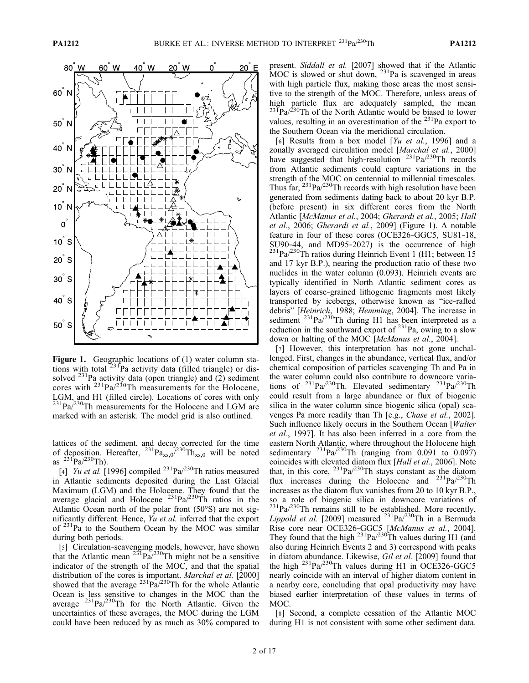

**Figure 1.** Geographic locations of (1) water column stations with total  $2^{31}$ Pa activity data (filled triangle) or dissolved  $^{231}$ Pa activity data (open triangle) and (2) sediment cores with  $231$ Pa/230Th measurements for the Holocene, LGM, and H1 (filled circle). Locations of cores with only  $^{231}Pa^{230}Th$  measurements for the Holocene and LGM are marked with an asterisk. The model grid is also outlined.

lattices of the sediment, and decay corrected for the time of deposition. Hereafter,  $^{231}Pa_{xs,0}/^{230}Th_{xs,0}$  will be noted as  $^{231}Pa^{230}Th$ ).

[4] *Yu et al.* [1996] compiled  $^{231}$ Pa $^{230}$ Th ratios measured in Atlantic sediments deposited during the Last Glacial Maximum (LGM) and the Holocene. They found that the average glacial and Holocene  $^{231}Pa^{230}Th$  ratios in the Atlantic Ocean north of the polar front (50°S) are not significantly different. Hence, Yu et al. inferred that the export of  $231$ Pa to the Southern Ocean by the MOC was similar during both periods.

[5] Circulation-scavenging models, however, have shown that the Atlantic mean  $^{231}Pa^{230}Th$  might not be a sensitive indicator of the strength of the MOC, and that the spatial distribution of the cores is important. Marchal et al. [2000] showed that the average  $^{231}Pa^{230}Th$  for the whole Atlantic Ocean is less sensitive to changes in the MOC than the average  $^{231}$ Pa/ $^{230}$ Th for the North Atlantic. Given the uncertainties of these averages, the MOC during the LGM could have been reduced by as much as 30% compared to present. Siddall et al. [2007] showed that if the Atlantic MOC is slowed or shut down,  $^{231}$ Pa is scavenged in areas with high particle flux, making those areas the most sensitive to the strength of the MOC. Therefore, unless areas of high particle flux are adequately sampled, the mean  $^{231}Pa/^{230}Th$  of the North Atlantic would be biased to lower values, resulting in an overestimation of the  $^{231}$ Pa export to the Southern Ocean via the meridional circulation.

[6] Results from a box model  $[Yu \ et \ al., \ 1996]$  and a zonally averaged circulation model [Marchal et al., 2000] have suggested that high-resolution <sup>231</sup>Pa/<sup>230</sup>Th records from Atlantic sediments could capture variations in the strength of the MOC on centennial to millennial timescales. Thus far,  $^{231}$ Pa $/^{230}$ Th records with high resolution have been generated from sediments dating back to about 20 kyr B.P. (before present) in six different cores from the North Atlantic [McManus et al., 2004; Gherardi et al., 2005; Hall et al., 2006; Gherardi et al., 2009] (Figure 1). A notable feature in four of these cores (OCE326‐GGC5, SU81‐18, SU90-44, and MD95-2027) is the occurrence of high  $^{231}Pa^{230}Th$  ratios during Heinrich Event 1 (H1; between 15 and 17 kyr B.P.), nearing the production ratio of these two nuclides in the water column (0.093). Heinrich events are typically identified in North Atlantic sediment cores as layers of coarse‐grained lithogenic fragments most likely transported by icebergs, otherwise known as "ice-rafted debris" [Heinrich, 1988; Hemming, 2004]. The increase in sediment  $^{231}Pa^{230}Th$  during H1 has been interpreted as a reduction in the southward export of  $^{231}$ Pa, owing to a slow down or halting of the MOC [McManus et al., 2004].

[7] However, this interpretation has not gone unchallenged. First, changes in the abundance, vertical flux, and/or chemical composition of particles scavenging Th and Pa in the water column could also contribute to downcore variations of  $^{231}Pa^{230}Th$ . Elevated sedimentary  $^{231}Pa^{230}Th$ could result from a large abundance or flux of biogenic silica in the water column since biogenic silica (opal) scavenges Pa more readily than Th [e.g., *Chase et al.*, 2002]. Such influence likely occurs in the Southern Ocean [Walter] et al., 1997]. It has also been inferred in a core from the eastern North Atlantic, where throughout the Holocene high sedimentary  $^{231}Pa^{230}Th$  (ranging from 0.091 to 0.097) coincides with elevated diatom flux [*Hall et al.*, 2006]. Note that, in this core,  $^{231}Pa/^{230}Th$  stays constant as the diatom flux increases during the Holocene and  $^{231}Pa^{230}Th$ increases as the diatom flux vanishes from 20 to 10 kyr B.P., so a role of biogenic silica in downcore variations of  $^{231}Pa/^{230}Th$  remains still to be established. More recently, Lippold et al. [2009] measured  $^{231}$ Pa $/^{230}$ Th in a Bermuda Rise core near OCE326-GGC5 [McManus et al., 2004]. They found that the high  $^{231}$ Pa/ $^{230}$ Th values during H1 (and also during Heinrich Events 2 and 3) correspond with peaks in diatom abundance. Likewise, Gil et al. [2009] found that the high  $^{231}Pa^{230}Th$  values during H1 in OCE326-GGC5 nearly coincide with an interval of higher diatom content in a nearby core, concluding that opal productivity may have biased earlier interpretation of these values in terms of MOC.

[8] Second, a complete cessation of the Atlantic MOC during H1 is not consistent with some other sediment data.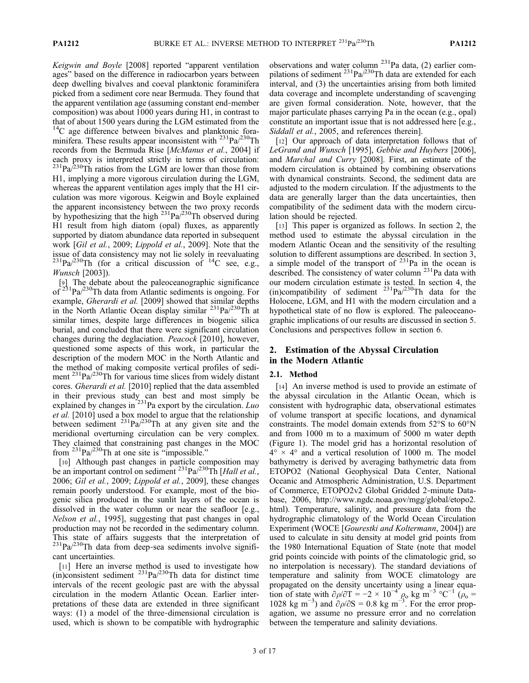Keigwin and Boyle [2008] reported "apparent ventilation ages" based on the difference in radiocarbon years between deep dwelling bivalves and coeval planktonic foraminifera picked from a sediment core near Bermuda. They found that the apparent ventilation age (assuming constant end‐member composition) was about 1000 years during H1, in contrast to that of about 1500 years during the LGM estimated from the  $14C$  age difference between bivalves and planktonic foraminifera. These results appear inconsistent with  $^{231}Pa^{230}Th$ records from the Bermuda Rise [McManus et al., 2004] if each proxy is interpreted strictly in terms of circulation:  $^{231}Pa^{230}Th$  ratios from the LGM are lower than those from H1, implying a more vigorous circulation during the LGM, whereas the apparent ventilation ages imply that the H1 circulation was more vigorous. Keigwin and Boyle explained the apparent inconsistency between the two proxy records by hypothesizing that the high <sup>231</sup>Pa/<sup>230</sup>Th observed during H1 result from high diatom (opal) fluxes, as apparently supported by diatom abundance data reported in subsequent work [Gil et al., 2009; Lippold et al., 2009]. Note that the issue of data consistency may not lie solely in reevaluating  $^{231}$ Pa/<sup>230</sup>Th (for a critical discussion of <sup>14</sup>C see, e.g., Wunsch [2003]).

[9] The debate about the paleoceanographic significance of  $23^{1}$ Pa/ $23^{0}$ Th data from Atlantic sediments is ongoing. For example, Gherardi et al. [2009] showed that similar depths in the North Atlantic Ocean display similar  $^{231}Pa^{230}Th$  at similar times, despite large differences in biogenic silica burial, and concluded that there were significant circulation changes during the deglaciation. Peacock [2010], however, questioned some aspects of this work, in particular the description of the modern MOC in the North Atlantic and the method of making composite vertical profiles of sediment <sup>231</sup>Pa/<sup>230</sup>Th for various time slices from widely distant cores. Gherardi et al. [2010] replied that the data assembled in their previous study can best and most simply be explained by changes in  $^{231}$ Pa export by the circulation. *Luo* et al. [2010] used a box model to argue that the relationship between sediment  $^{231}Pa^{230}Th$  at any given site and the meridional overturning circulation can be very complex. They claimed that constraining past changes in the MOC from 231Pa/230Th at one site is "impossible."

[10] Although past changes in particle composition may be an important control on sediment  $^{231}Pa^{230}Th$  [Hall et al., 2006; Gil et al., 2009; Lippold et al., 2009], these changes remain poorly understood. For example, most of the biogenic silica produced in the sunlit layers of the ocean is dissolved in the water column or near the seafloor [e.g., Nelson et al., 1995], suggesting that past changes in opal production may not be recorded in the sedimentary column. This state of affairs suggests that the interpretation of  $^{231}$ Pa/ $^{230}$ Th data from deep-sea sediments involve significant uncertainties.

[11] Here an inverse method is used to investigate how (in)consistent sediment  $^{231}Pa^{230}Th$  data for distinct time intervals of the recent geologic past are with the abyssal circulation in the modern Atlantic Ocean. Earlier interpretations of these data are extended in three significant ways: (1) a model of the three-dimensional circulation is used, which is shown to be compatible with hydrographic

observations and water column  $231$ Pa data, (2) earlier compilations of sediment  $^{231}Pa/^{230}Th$  data are extended for each interval, and (3) the uncertainties arising from both limited data coverage and incomplete understanding of scavenging are given formal consideration. Note, however, that the major particulate phases carrying Pa in the ocean (e.g., opal) constitute an important issue that is not addressed here [e.g., Siddall et al., 2005, and references therein].

[12] Our approach of data interpretation follows that of LeGrand and Wunsch [1995], Gebbie and Huybers [2006], and Marchal and Curry [2008]. First, an estimate of the modern circulation is obtained by combining observations with dynamical constraints. Second, the sediment data are adjusted to the modern circulation. If the adjustments to the data are generally larger than the data uncertainties, then compatibility of the sediment data with the modern circulation should be rejected.

[13] This paper is organized as follows. In section 2, the method used to estimate the abyssal circulation in the modern Atlantic Ocean and the sensitivity of the resulting solution to different assumptions are described. In section 3, a simple model of the transport of  $231$ Pa in the ocean is described. The consistency of water column <sup>231</sup>Pa data with our modern circulation estimate is tested. In section 4, the (in)compatibility of sediment  $^{231}Pa^{230}Th$  data for the Holocene, LGM, and H1 with the modern circulation and a hypothetical state of no flow is explored. The paleoceanographic implications of our results are discussed in section 5. Conclusions and perspectives follow in section 6.

# 2. Estimation of the Abyssal Circulation in the Modern Atlantic

### 2.1. Method

[14] An inverse method is used to provide an estimate of the abyssal circulation in the Atlantic Ocean, which is consistent with hydrographic data, observational estimates of volume transport at specific locations, and dynamical constraints. The model domain extends from 52°S to 60°N and from 1000 m to a maximum of 5000 m water depth (Figure 1). The model grid has a horizontal resolution of  $4^{\circ}$  × 4 $^{\circ}$  and a vertical resolution of 1000 m. The model bathymetry is derived by averaging bathymetric data from ETOPO2 (National Geophysical Data Center, National Oceanic and Atmospheric Administration, U.S. Department of Commerce, ETOPO2v2 Global Gridded 2‐minute Database, 2006, http://www.ngdc.noaa.gov/mgg/global/etopo2. html). Temperature, salinity, and pressure data from the hydrographic climatology of the World Ocean Circulation Experiment (WOCE [*Gourestki and Koltermann*, 2004]) are used to calculate in situ density at model grid points from the 1980 International Equation of State (note that model grid points coincide with points of the climatologic grid, so no interpolation is necessary). The standard deviations of temperature and salinity from WOCE climatology are propagated on the density uncertainty using a linear equation of state with  $\partial \rho / \partial T = -2 \times 10^{-4} \rho_0$  kg m<sup>-3</sup> °C<sup>-1</sup> ( $\rho_0 =$ 1028 kg m<sup>-3</sup>) and  $\sigma \rho / \partial S = 0.8$  kg m<sup>-3</sup>. For the error propagation, we assume no pressure error and no correlation between the temperature and salinity deviations.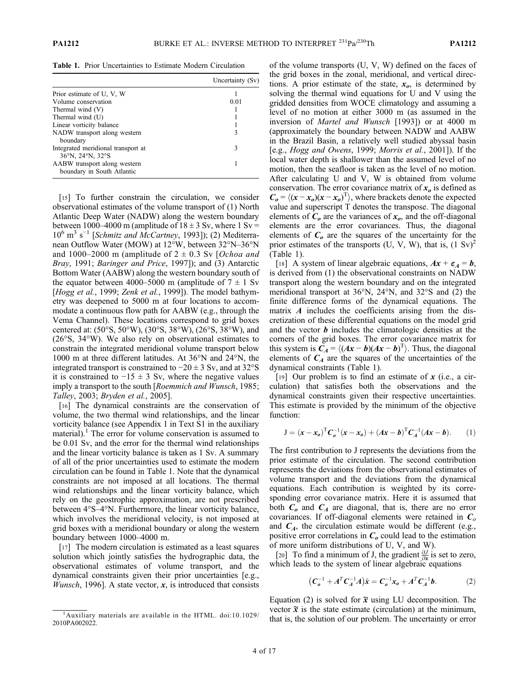Table 1. Prior Uncertainties to Estimate Modern Circulation

|                                                            | Uncertainty (Sv) |
|------------------------------------------------------------|------------------|
| Prior estimate of U, V, W                                  |                  |
| Volume conservation                                        | 0.01             |
| Thermal wind (V)                                           |                  |
| Thermal wind (U)                                           |                  |
| Linear vorticity balance                                   |                  |
| NADW transport along western<br>boundary                   |                  |
| Integrated meridional transport at<br>36°N, 24°N, 32°S     | 3                |
| AABW transport along western<br>boundary in South Atlantic |                  |

[15] To further constrain the circulation, we consider observational estimates of the volume transport of (1) North Atlantic Deep Water (NADW) along the western boundary between 1000–4000 m (amplitude of  $18 \pm 3$  Sv, where 1 Sv =  $10^6$  m<sup>3</sup> s<sup>-1</sup> [Schmitz and McCartney, 1993]); (2) Mediterranean Outflow Water (MOW) at 12°W, between 32°N–36°N and 1000–2000 m (amplitude of  $2 \pm 0.3$  Sv [Ochoa and Bray, 1991; Baringer and Price, 1997]); and (3) Antarctic Bottom Water (AABW) along the western boundary south of the equator between 4000–5000 m (amplitude of  $7 \pm 1$  Sv [Hogg et al., 1999; Zenk et al., 1999]). The model bathymetry was deepened to 5000 m at four locations to accommodate a continuous flow path for AABW (e.g., through the Vema Channel). These locations correspond to grid boxes centered at: (50°S, 50°W), (30°S, 38°W), (26°S, 38°W), and (26°S, 34°W). We also rely on observational estimates to constrain the integrated meridional volume transport below 1000 m at three different latitudes. At 36°N and 24°N, the integrated transport is constrained to  $-20 \pm 3$  Sv, and at 32°S it is constrained to  $-15 \pm 3$  Sv, where the negative values imply a transport to the south [Roemmich and Wunsch, 1985; Talley, 2003; Bryden et al., 2005].

[16] The dynamical constraints are the conservation of volume, the two thermal wind relationships, and the linear vorticity balance (see Appendix 1 in Text S1 in the auxiliary material).<sup>1</sup> The error for volume conservation is assumed to be 0.01 Sv, and the error for the thermal wind relationships and the linear vorticity balance is taken as 1 Sv. A summary of all of the prior uncertainties used to estimate the modern circulation can be found in Table 1. Note that the dynamical constraints are not imposed at all locations. The thermal wind relationships and the linear vorticity balance, which rely on the geostrophic approximation, are not prescribed between 4°S–4°N. Furthermore, the linear vorticity balance, which involves the meridional velocity, is not imposed at grid boxes with a meridional boundary or along the western boundary between 1000–4000 m.

[17] The modern circulation is estimated as a least squares solution which jointly satisfies the hydrographic data, the observational estimates of volume transport, and the dynamical constraints given their prior uncertainties [e.g., *Wunsch*, 1996]. A state vector,  $x$ , is introduced that consists of the volume transports (U, V, W) defined on the faces of the grid boxes in the zonal, meridional, and vertical directions. A prior estimate of the state,  $x<sub>o</sub>$ , is determined by solving the thermal wind equations for U and V using the gridded densities from WOCE climatology and assuming a level of no motion at either 3000 m (as assumed in the inversion of Martel and Wunsch [1993]) or at 4000 m (approximately the boundary between NADW and AABW in the Brazil Basin, a relatively well studied abyssal basin [e.g., Hogg and Owens, 1999; Morris et al., 2001]). If the local water depth is shallower than the assumed level of no motion, then the seafloor is taken as the level of no motion. After calculating U and V, W is obtained from volume conservation. The error covariance matrix of  $x<sub>o</sub>$  is defined as  $C_o = \langle (x - x_o)(x - x_o)^T \rangle$ , where brackets denote the expected value and superscript T denotes the transpose. The diagonal elements of  $C<sub>o</sub>$  are the variances of  $x<sub>o</sub>$ , and the off-diagonal elements are the error covariances. Thus, the diagonal elements of  $C<sub>o</sub>$  are the squares of the uncertainty for the prior estimates of the transports (U, V, W), that is,  $(1 \text{ Sv})^2$ (Table 1).

[18] A system of linear algebraic equations,  $Ax + \varepsilon_A = b$ , is derived from (1) the observational constraints on NADW transport along the western boundary and on the integrated meridional transport at 36°N, 24°N, and 32°S and (2) the finite difference forms of the dynamical equations. The matrix  $\vec{A}$  includes the coefficients arising from the discretization of these differential equations on the model grid and the vector  $\boldsymbol{b}$  includes the climatologic densities at the corners of the grid boxes. The error covariance matrix for this system is  $C_A = \langle (Ax - b)(Ax - b)^T \rangle$ . Thus, the diagonal elements of  $C_A$  are the squares of the uncertainties of the dynamical constraints (Table 1).

[19] Our problem is to find an estimate of  $x$  (i.e., a circulation) that satisfies both the observations and the dynamical constraints given their respective uncertainties. This estimate is provided by the minimum of the objective function:

$$
J = (x - x_o)^T C_o^{-1} (x - x_o) + (Ax - b)^T C_A^{-1} (Ax - b).
$$
 (1)

The first contribution to J represents the deviations from the prior estimate of the circulation. The second contribution represents the deviations from the observational estimates of volume transport and the deviations from the dynamical equations. Each contribution is weighted by its corresponding error covariance matrix. Here it is assumed that both  $C<sub>o</sub>$  and  $C<sub>A</sub>$  are diagonal, that is, there are no error covariances. If off-diagonal elements were retained in  $C<sub>o</sub>$ and  $C_A$ , the circulation estimate would be different (e.g., positive error correlations in  $C<sub>o</sub>$  could lead to the estimation of more uniform distributions of U, V, and W).

[20] To find a minimum of J, the gradient  $\frac{\partial J}{\partial x}$  is set to zero, which leads to the system of linear algebraic equations

$$
(C_o^{-1} + A^T C_A^{-1} A)\tilde{x} = C_o^{-1} x_o + A^T C_A^{-1} b.
$$
 (2)

Equation (2) is solved for  $\tilde{x}$  using LU decomposition. The vector  $\tilde{x}$  is the state estimate (circulation) at the minimum, that is, the solution of our problem. The uncertainty or error

<sup>&</sup>lt;sup>1</sup>Auxiliary materials are available in the HTML. doi:10.1029/ 2010PA002022.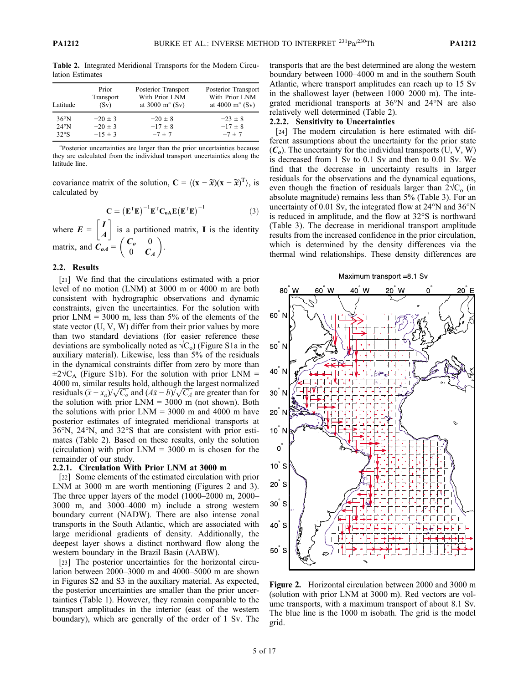| Latitude       | Prior       | Posterior Transport | Posterior Transport |
|----------------|-------------|---------------------|---------------------|
|                | Transport   | With Prior LNM      | With Prior LNM      |
|                | (Sv)        | at 3000 $m^a$ (Sv)  | at 4000 $m^a$ (Sv)  |
| $36^{\circ}$ N | $-20 \pm 3$ | $-20 \pm 8$         | $-23 \pm 8$         |
| $24^{\circ}$ N | $-20 \pm 3$ | $-17 \pm 8$         | $-17 \pm 8$         |
| 32°S           | $-15 \pm 3$ | $-7 \pm 7$          | $-7 \pm 7$          |

Table 2. Integrated Meridional Transports for the Modern Circulation Estimates

<sup>a</sup>Posterior uncertainties are larger than the prior uncertainties because they are calculated from the individual transport uncertainties along the latitude line.

covariance matrix of the solution,  $\mathbf{C} = \langle (\mathbf{x} - \widetilde{\mathbf{x}})(\mathbf{x} - \widetilde{\mathbf{x}})^T \rangle$ , is calculated by

$$
\mathbf{C} = \left(\mathbf{E}^{\mathrm{T}}\mathbf{E}\right)^{-1}\mathbf{E}^{\mathrm{T}}\mathbf{C}_{o\mathbf{A}}\mathbf{E}\left(\mathbf{E}^{\mathrm{T}}\mathbf{E}\right)^{-1} \tag{3}
$$

where  $E = \begin{bmatrix} I \\ A \end{bmatrix}$  is a partitioned matrix, I is the identity matrix, and  $\overrightarrow{C_{oA}} = \begin{pmatrix} C_o & 0 \\ 0 & C_A \end{pmatrix}$ .

## 2.2. Results

[21] We find that the circulations estimated with a prior level of no motion (LNM) at 3000 m or 4000 m are both consistent with hydrographic observations and dynamic constraints, given the uncertainties. For the solution with prior  $LNM = 3000$  m, less than 5% of the elements of the state vector (U, V, W) differ from their prior values by more than two standard deviations (for easier reference these deviations are symbolically noted as  $\sqrt{C_0}$ ) (Figure S1a in the auxiliary material). Likewise, less than 5% of the residuals in the dynamical constraints differ from zero by more than  $\pm 2\sqrt{\overline{C}_A}$  (Figure S1b). For the solution with prior LNM = 4000 m, similar results hold, although the largest normalized residuals  $(\tilde{x} - x_0)/\sqrt{C_0}$  and  $(A\tilde{x} - b)/\sqrt{C_4}$  are greater than for the solution with prior  $LNM = 3000$  m (not shown). Both the solutions with prior  $LNM = 3000$  m and 4000 m have posterior estimates of integrated meridional transports at 36°N, 24°N, and 32°S that are consistent with prior estimates (Table 2). Based on these results, only the solution (circulation) with prior  $LNM = 3000$  m is chosen for the remainder of our study.

### 2.2.1. Circulation With Prior LNM at 3000 m

[22] Some elements of the estimated circulation with prior LNM at 3000 m are worth mentioning (Figures 2 and 3). The three upper layers of the model (1000–2000 m, 2000– 3000 m, and 3000–4000 m) include a strong western boundary current (NADW). There are also intense zonal transports in the South Atlantic, which are associated with large meridional gradients of density. Additionally, the deepest layer shows a distinct northward flow along the western boundary in the Brazil Basin (AABW).

[23] The posterior uncertainties for the horizontal circulation between 2000–3000 m and 4000–5000 m are shown in Figures S2 and S3 in the auxiliary material. As expected, the posterior uncertainties are smaller than the prior uncertainties (Table 1). However, they remain comparable to the transport amplitudes in the interior (east of the western boundary), which are generally of the order of 1 Sv. The

transports that are the best determined are along the western boundary between 1000–4000 m and in the southern South Atlantic, where transport amplitudes can reach up to 15 Sv in the shallowest layer (between 1000–2000 m). The integrated meridional transports at 36°N and 24°N are also relatively well determined (Table 2).

### 2.2.2. Sensitivity to Uncertainties

[24] The modern circulation is here estimated with different assumptions about the uncertainty for the prior state  $(C<sub>o</sub>)$ . The uncertainty for the individual transports (U, V, W) is decreased from 1 Sv to 0.1 Sv and then to 0.01 Sv. We find that the decrease in uncertainty results in larger residuals for the observations and the dynamical equations, even though the fraction of residuals larger than  $2\sqrt{C_{o}}$  (in absolute magnitude) remains less than 5% (Table 3). For an uncertainty of 0.01 Sv, the integrated flow at 24°N and 36°N is reduced in amplitude, and the flow at 32°S is northward (Table 3). The decrease in meridional transport amplitude results from the increased confidence in the prior circulation, which is determined by the density differences via the thermal wind relationships. These density differences are



Figure 2. Horizontal circulation between 2000 and 3000 m (solution with prior LNM at 3000 m). Red vectors are volume transports, with a maximum transport of about 8.1 Sv. The blue line is the 1000 m isobath. The grid is the model grid.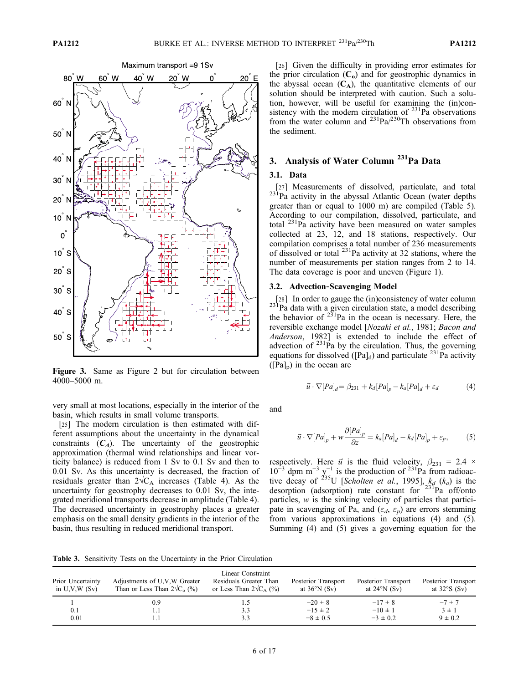

Figure 3. Same as Figure 2 but for circulation between 4000–5000 m.

very small at most locations, especially in the interior of the basin, which results in small volume transports.

[25] The modern circulation is then estimated with different assumptions about the uncertainty in the dynamical constraints  $(C_A)$ . The uncertainty of the geostrophic approximation (thermal wind relationships and linear vorticity balance) is reduced from 1 Sv to 0.1 Sv and then to 0.01 Sv. As this uncertainty is decreased, the fraction of residuals greater than  $2\sqrt{C_A}$  increases (Table 4). As the uncertainty for geostrophy decreases to 0.01 Sv, the integrated meridional transports decrease in amplitude (Table 4). The decreased uncertainty in geostrophy places a greater emphasis on the small density gradients in the interior of the basin, thus resulting in reduced meridional transport.

[26] Given the difficulty in providing error estimates for the prior circulation  $(C_0)$  and for geostrophic dynamics in the abyssal ocean  $(C_A)$ , the quantitative elements of our solution should be interpreted with caution. Such a solution, however, will be useful for examining the (in)consistency with the modern circulation of  $^{231}$ Pa observations from the water column and  $^{231}Pa/^{230}Th$  observations from the sediment.

# 3. Analysis of Water Column<sup>231</sup>Pa Data

## 3.1. Data

 $_{23}$ [27] Measurements of dissolved, particulate, and total  $_{23}$ [Pa activity in the abyssal Atlantic Ocean (water depths) greater than or equal to 1000 m) are compiled (Table 5). According to our compilation, dissolved, particulate, and total  $^{231}$ Pa activity have been measured on water samples collected at 23, 12, and 18 stations, respectively. Our compilation comprises a total number of 236 measurements of dissolved or total 231Pa activity at 32 stations, where the number of measurements per station ranges from 2 to 14. The data coverage is poor and uneven (Figure 1).

### 3.2. Advection‐Scavenging Model

[28] In order to gauge the (in)consistency of water column  $23^{1}$ Pa data with a given circulation state, a model describing the behavior of  $23^{18}$ Pa in the ocean is necessary. Here, the reversible exchange model [Nozaki et al., 1981; Bacon and Anderson, 1982] is extended to include the effect of advection of  $231\bar{P}a$  by the circulation. Thus, the governing equations for dissolved  $([Pa]_d)$  and particulate  $^{231}$ Pa activity  $([Pa]_p)$  in the ocean are

$$
\vec{u} \cdot \nabla [Pa]_d = \beta_{231} + k_d [Pa]_p - k_a [Pa]_d + \varepsilon_d \tag{4}
$$

and

$$
\vec{u} \cdot \nabla [Pa]_p + w \frac{\partial [Pa]_p}{\partial z} = k_a [Pa]_d - k_d [Pa]_p + \varepsilon_p, \tag{5}
$$

respectively. Here  $\vec{u}$  is the fluid velocity,  $\beta_{231} = 2.4 \times$  $10^{-3}$  dpm m<sup>-3</sup> y<sup>-1</sup> is the production of <sup>231</sup>Pa from radioactive decay of <sup>235</sup>U [Scholten et al., 1995],  $k_d$  ( $k_a$ ) is the desorption (adsorption) rate constant for <sup>231</sup>Pa off/onto particles,  $w$  is the sinking velocity of particles that participate in scavenging of Pa, and  $(\varepsilon_d, \varepsilon_p)$  are errors stemming from various approximations in equations (4) and (5). Summing (4) and (5) gives a governing equation for the

Table 3. Sensitivity Tests on the Uncertainty in the Prior Circulation

| Prior Uncertainty<br>in $U, V, W(Sv)$ | Adjustments of U.V.W Greater<br>Than or Less Than $2\sqrt{C_0}$ (%) | Linear Constraint<br>Residuals Greater Than<br>or Less Than $2\sqrt{C_A}$ (%) | Posterior Transport<br>at $36^{\circ}$ N (Sv) | Posterior Transport<br>at $24^{\circ}$ N (Sv) | Posterior Transport<br>at $32°S(Sv)$ |
|---------------------------------------|---------------------------------------------------------------------|-------------------------------------------------------------------------------|-----------------------------------------------|-----------------------------------------------|--------------------------------------|
|                                       | 0.9                                                                 | L.)                                                                           | $-20 \pm 8$                                   | $-17 \pm 8$                                   | $-7 \pm 7$                           |
| 0.1                                   | 1.1                                                                 | 3.3                                                                           | $-15 \pm 2$                                   | $-10 \pm 1$                                   | $3 \pm 1$                            |
| 0.01                                  |                                                                     | 3.3                                                                           | $-8 \pm 0.5$                                  | $-3 \pm 0.2$                                  | $9 \pm 0.2$                          |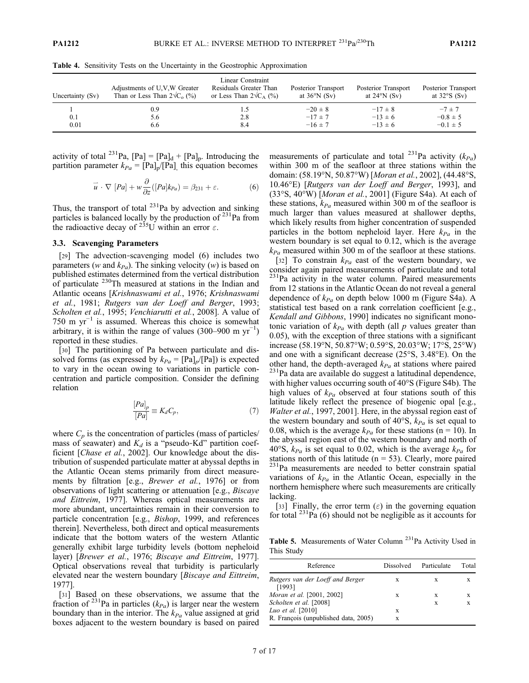| Uncertainty (Sv) | Adjustments of U,V,W Greater<br>Than or Less Than $2\sqrt{C_0}$ (%) | Linear Constraint<br>Residuals Greater Than<br>or Less Than $2\sqrt{C_A}$ (%) | Posterior Transport<br>at $36^{\circ}$ N (Sv) | Posterior Transport<br>at $24^{\circ}$ N (Sv) | Posterior Transport<br>at $32°S(Sv)$       |
|------------------|---------------------------------------------------------------------|-------------------------------------------------------------------------------|-----------------------------------------------|-----------------------------------------------|--------------------------------------------|
| 0.1<br>0.01      | 0.9<br>5.6<br>6.6                                                   | د.،<br>2.8<br>8.4                                                             | $-20 \pm 8$<br>$-17 \pm 7$<br>$-16 \pm 7$     | $-17 \pm 8$<br>$-13 \pm 6$<br>$-13 \pm 6$     | $-7 \pm 7$<br>$-0.8 \pm 5$<br>$-0.1 \pm 5$ |

Table 4. Sensitivity Tests on the Uncertainty in the Geostrophic Approximation

activity of total <sup>231</sup>Pa,  $[Pa] = [Pa]_d + [Pa]_p$ . Introducing the partition parameter  $k_{Pa} = [Pa]_p/[Pa]$ , this equation becomes

$$
\vec{u} \cdot \nabla [Pa] + w \frac{\partial}{\partial z} ([Pa]k_{Pa}) = \beta_{231} + \varepsilon. \tag{6}
$$

Thus, the transport of total  $^{231}$ Pa by advection and sinking particles is balanced locally by the production of  $^{231}$ Pa from the radioactive decay of  $2^{35}$ U within an error  $\varepsilon$ .

#### 3.3. Scavenging Parameters

[29] The advection-scavenging model (6) includes two parameters (w and  $k_{Pa}$ ). The sinking velocity (w) is based on published estimates determined from the vertical distribution of particulate 230Th measured at stations in the Indian and Atlantic oceans [Krishnaswami et al., 1976; Krishnaswami et al., 1981; Rutgers van der Loeff and Berger, 1993; Scholten et al., 1995; Venchiarutti et al., 2008]. A value of 750 m  $yr^{-1}$  is assumed. Whereas this choice is somewhat arbitrary, it is within the range of values (300–900 m  $yr^{-1}$ ) reported in these studies.

[30] The partitioning of Pa between particulate and dissolved forms (as expressed by  $k_{Pa} = [Pa]_p/[Pa]$ ) is expected to vary in the ocean owing to variations in particle concentration and particle composition. Consider the defining relation

$$
\frac{[Pa]_p}{[Pa]} \equiv K_d C_p,\tag{7}
$$

where  $C_p$  is the concentration of particles (mass of particles/ mass of seawater) and  $K_d$  is a "pseudo-Kd" partition coefficient [*Chase et al.*, 2002]. Our knowledge about the distribution of suspended particulate matter at abyssal depths in the Atlantic Ocean stems primarily from direct measurements by filtration [e.g., *Brewer et al.*, 1976] or from observations of light scattering or attenuation [e.g., Biscaye and Eittreim, 1977]. Whereas optical measurements are more abundant, uncertainties remain in their conversion to particle concentration [e.g., Bishop, 1999, and references therein]. Nevertheless, both direct and optical measurements indicate that the bottom waters of the western Atlantic generally exhibit large turbidity levels (bottom nepheloid layer) [Brewer et al., 1976; Biscaye and Eittreim, 1977]. Optical observations reveal that turbidity is particularly elevated near the western boundary [Biscaye and Eittreim, 1977].

[31] Based on these observations, we assume that the fraction of <sup>231</sup>Pa in particles ( $k_{Pa}$ ) is larger near the western boundary than in the interior. The  $k_{Pa}$  value assigned at grid boxes adjacent to the western boundary is based on paired measurements of particulate and total <sup>231</sup>Pa activity ( $k_{Pa}$ ) within 300 m of the seafloor at three stations within the domain: (58.19°N, 50.87°W) [Moran et al., 2002], (44.48°S, 10.46°E) [Rutgers van der Loeff and Berger, 1993], and (33°S, 40°W) [Moran et al., 2001] (Figure S4a). At each of these stations,  $k_{Pa}$  measured within 300 m of the seafloor is much larger than values measured at shallower depths, which likely results from higher concentration of suspended particles in the bottom nepheloid layer. Here  $k_{Pa}$  in the western boundary is set equal to 0.12, which is the average  $k_{Pa}$  measured within 300 m of the seafloor at these stations.

[32] To constrain  $k_{Pa}$  east of the western boundary, we consider again paired measurements of particulate and total <sup>231</sup>Pa activity in the water column. Paired measurements from 12 stations in the Atlantic Ocean do not reveal a general dependence of  $k_{Pa}$  on depth below 1000 m (Figure S4a). A statistical test based on a rank correlation coefficient [e.g., Kendall and Gibbons, 1990] indicates no significant monotonic variation of  $k_{Pa}$  with depth (all p values greater than 0.05), with the exception of three stations with a significant increase (58.19°N, 50.87°W; 0.59°S, 20.03°W; 17°S, 25°W) and one with a significant decrease (25°S, 3.48°E). On the other hand, the depth-averaged  $k_{Pa}$  at stations where paired  $^{231}$ Pa data are available do suggest a latitudinal dependence, with higher values occurring south of 40°S (Figure S4b). The high values of  $k_{Pa}$  observed at four stations south of this latitude likely reflect the presence of biogenic opal [e.g., Walter et al., 1997, 2001]. Here, in the abyssal region east of the western boundary and south of 40 $\degree$ S,  $k_{Pa}$  is set equal to 0.08, which is the average  $k_{Pa}$  for these stations (n = 10). In the abyssal region east of the western boundary and north of 40°S,  $k_{Pa}$  is set equal to 0.02, which is the average  $k_{Pa}$  for stations north of this latitude ( $n = 53$ ). Clearly, more paired <sup>231</sup>Pa measurements are needed to better constrain spatial variations of  $k_{Pa}$  in the Atlantic Ocean, especially in the northern hemisphere where such measurements are critically lacking.

[33] Finally, the error term  $(\varepsilon)$  in the governing equation for total  $^{231}$ Pa (6) should not be negligible as it accounts for

Table 5. Measurements of Water Column <sup>231</sup>Pa Activity Used in This Study

| Reference                                  | <b>Dissolved</b> | Particulate | Total |
|--------------------------------------------|------------------|-------------|-------|
| Rutgers van der Loeff and Berger<br>[1993] | X                | X           | X     |
| Moran et al. [2001, 2002]                  | X                | X           | X     |
| Scholten et al. [2008]                     |                  | X           | X     |
| Luo et al. [2010]                          | X                |             |       |
| R. Francois (unpublished data, 2005)       | X                |             |       |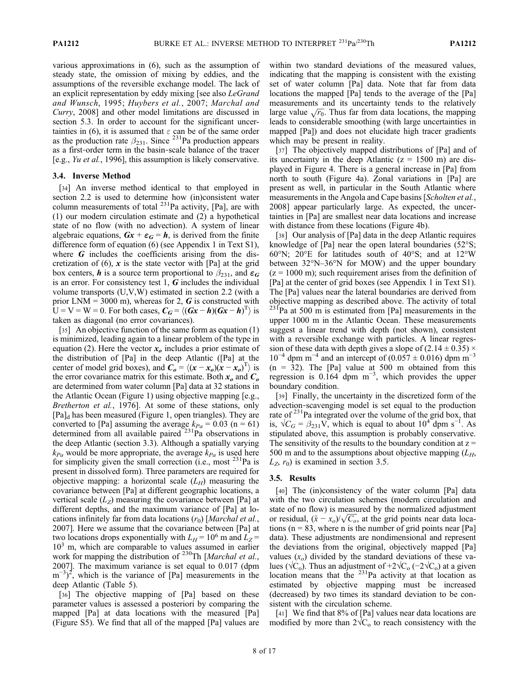various approximations in (6), such as the assumption of steady state, the omission of mixing by eddies, and the assumptions of the reversible exchange model. The lack of an explicit representation by eddy mixing [see also LeGrand and Wunsch, 1995; Huybers et al., 2007; Marchal and Curry, 2008] and other model limitations are discussed in section 5.3. In order to account for the significant uncertainties in (6), it is assumed that  $\varepsilon$  can be of the same order as the production rate  $\beta_{231}$ . Since <sup>231</sup>Pa production appears as a first‐order term in the basin‐scale balance of the tracer [e.g., Yu et al., 1996], this assumption is likely conservative.

## 3.4. Inverse Method

[34] An inverse method identical to that employed in section 2.2 is used to determine how (in)consistent water column measurements of total  $^{231}$ Pa activity, [Pa], are with (1) our modern circulation estimate and (2) a hypothetical state of no flow (with no advection). A system of linear algebraic equations,  $Gx + \epsilon_G = h$ , is derived from the finite difference form of equation (6) (see Appendix 1 in Text S1), where  $G$  includes the coefficients arising from the discretization of  $(6)$ , x is the state vector with [Pa] at the grid box centers, **h** is a source term proportional to  $\beta_{231}$ , and  $\epsilon_G$ is an error. For consistency test  $1, G$  includes the individual volume transports (U,V,W) estimated in section 2.2 (with a prior LNM = 3000 m), whereas for 2,  $\boldsymbol{G}$  is constructed with  $U = V = W = 0$ . For both cases,  $C_G = \langle (Gx - h)(Gx - h)^T \rangle$  is taken as diagonal (no error covariances).

[35] An objective function of the same form as equation (1) is minimized, leading again to a linear problem of the type in equation (2). Here the vector  $x<sub>o</sub>$  includes a prior estimate of the distribution of [Pa] in the deep Atlantic ([Pa] at the center of model grid boxes), and  $C_o = \langle (x - x_o)(x - x_o)^T \rangle$  is the error covariance matrix for this estimate. Both  $x_0$  and  $C_0$ are determined from water column [Pa] data at 32 stations in the Atlantic Ocean (Figure 1) using objective mapping [e.g., Bretherton et al., 1976]. At some of these stations, only  $[Pa]_d$  has been measured (Figure 1, open triangles). They are converted to [Pa] assuming the average  $k_{Pa} = 0.03$  (n = 61) determined from all available paired <sup>231</sup>Pa observations in the deep Atlantic (section 3.3). Although a spatially varying  $k_{Pa}$  would be more appropriate, the average  $k_{Pa}$  is used here for simplicity given the small correction (i.e., most  $231$ Pa is present in dissolved form). Three parameters are required for objective mapping: a horizontal scale  $(L_H)$  measuring the covariance between [Pa] at different geographic locations, a vertical scale  $(L_z)$  measuring the covariance between [Pa] at different depths, and the maximum variance of [Pa] at locations infinitely far from data locations  $(r_0)$  [Marchal et al., 2007]. Here we assume that the covariance between [Pa] at two locations drops exponentially with  $L_H$  = 10<sup>6</sup> m and  $L_Z$  =  $10<sup>3</sup>$  m, which are comparable to values assumed in earlier work for mapping the distribution of <sup>230</sup>Th [Marchal et al., 2007]. The maximum variance is set equal to 0.017 (dpm  $(m^{-3})^2$ , which is the variance of [Pa] measurements in the deep Atlantic (Table 5).

[36] The objective mapping of [Pa] based on these parameter values is assessed a posteriori by comparing the mapped [Pa] at data locations with the measured [Pa] (Figure S5). We find that all of the mapped [Pa] values are within two standard deviations of the measured values, indicating that the mapping is consistent with the existing set of water column [Pa] data. Note that far from data locations the mapped [Pa] tends to the average of the [Pa] measurements and its uncertainty tends to the relatively large value  $\sqrt{r_0}$ . Thus far from data locations, the mapping leads to considerable smoothing (with large uncertainties in mapped [Pa]) and does not elucidate high tracer gradients which may be present in reality.

[37] The objectively mapped distributions of [Pa] and of its uncertainty in the deep Atlantic  $(z = 1500 \text{ m})$  are displayed in Figure 4. There is a general increase in [Pa] from north to south (Figure 4a). Zonal variations in [Pa] are present as well, in particular in the South Atlantic where measurements in the Angola and Cape basins [Scholten et al., 2008] appear particularly large. As expected, the uncertainties in [Pa] are smallest near data locations and increase with distance from these locations (Figure 4b).

[38] Our analysis of [Pa] data in the deep Atlantic requires knowledge of [Pa] near the open lateral boundaries (52°S; 60°N; 20°E for latitudes south of 40°S; and at 12°W between 32°N–36°N for MOW) and the upper boundary  $(z = 1000 \text{ m})$ ; such requirement arises from the definition of [Pa] at the center of grid boxes (see Appendix 1 in Text S1). The [Pa] values near the lateral boundaries are derived from objective mapping as described above. The activity of total  $^{231}$ Pa at 500 m is estimated from [Pa] measurements in the upper 1000 m in the Atlantic Ocean. These measurements suggest a linear trend with depth (not shown), consistent with a reversible exchange with particles. A linear regression of these data with depth gives a slope of  $(2.14 \pm 0.35) \times$  $10^{-4}$  dpm m<sup>-4</sup> and an intercept of (0.057 ± 0.016) dpm m<sup>-3</sup>  $(n = 32)$ . The [Pa] value at 500 m obtained from this regression is  $0.164$  dpm m<sup>-3</sup>, which provides the upper boundary condition.

[39] Finally, the uncertainty in the discretized form of the advection‐scavenging model is set equal to the production rate of  $^{231}$ Pa integrated over the volume of the grid box, that is,  $\sqrt{C_G} = \beta_{231} V$ , which is equal to about 10<sup>4</sup> dpm s<sup>-1</sup>. As stipulated above, this assumption is probably conservative. The sensitivity of the results to the boundary condition at  $z =$ 500 m and to the assumptions about objective mapping  $(L_H,$  $L_z$ ,  $r_0$ ) is examined in section 3.5.

### 3.5. Results

[40] The (in)consistency of the water column [Pa] data with the two circulation schemes (modern circulation and state of no flow) is measured by the normalized adjustment or residual,  $(\tilde{x} - x_o)/\sqrt{C_o}$ , at the grid points near data locations ( $n = 83$ , where n is the number of grid points near [Pa] data). These adjustments are nondimensional and represent the deviations from the original, objectively mapped [Pa] values  $(x<sub>o</sub>)$  divided by the standard deviations of these values ( $\sqrt{C_0}$ ). Thus an adjustment of +2 $\sqrt{C_0}$  (−2 $\sqrt{C_0}$ ) at a given location means that the  $231$ Pa activity at that location as estimated by objective mapping must be increased (decreased) by two times its standard deviation to be consistent with the circulation scheme.

[41] We find that 8% of [Pa] values near data locations are modified by more than  $2\sqrt{C_0}$  to reach consistency with the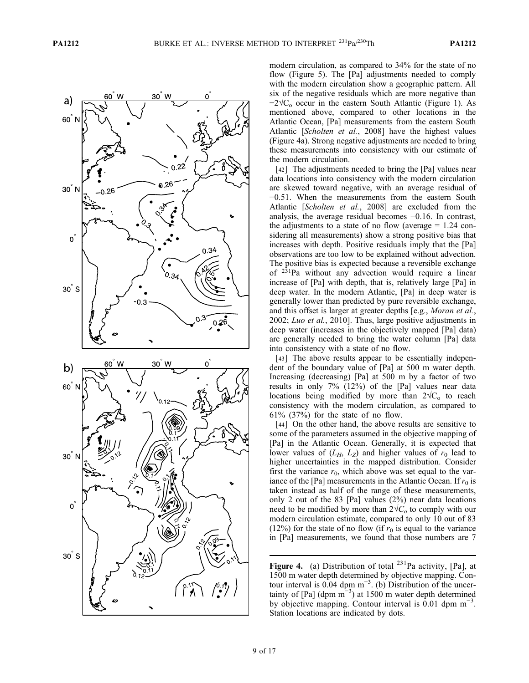

modern circulation, as compared to 34% for the state of no flow (Figure 5). The [Pa] adjustments needed to comply with the modern circulation show a geographic pattern. All six of the negative residuals which are more negative than  $-2\sqrt{C_0}$  occur in the eastern South Atlantic (Figure 1). As mentioned above, compared to other locations in the Atlantic Ocean, [Pa] measurements from the eastern South Atlantic [Scholten et al., 2008] have the highest values (Figure 4a). Strong negative adjustments are needed to bring these measurements into consistency with our estimate of the modern circulation.

[42] The adjustments needed to bring the [Pa] values near data locations into consistency with the modern circulation are skewed toward negative, with an average residual of −0.51. When the measurements from the eastern South Atlantic [Scholten et al., 2008] are excluded from the analysis, the average residual becomes −0.16. In contrast, the adjustments to a state of no flow (average  $= 1.24$  considering all measurements) show a strong positive bias that increases with depth. Positive residuals imply that the [Pa] observations are too low to be explained without advection. The positive bias is expected because a reversible exchange of 231Pa without any advection would require a linear increase of [Pa] with depth, that is, relatively large [Pa] in deep water. In the modern Atlantic, [Pa] in deep water is generally lower than predicted by pure reversible exchange, and this offset is larger at greater depths [e.g., Moran et al., 2002; Luo et al., 2010]. Thus, large positive adjustments in deep water (increases in the objectively mapped [Pa] data) are generally needed to bring the water column [Pa] data into consistency with a state of no flow.

[43] The above results appear to be essentially independent of the boundary value of [Pa] at 500 m water depth. Increasing (decreasing) [Pa] at 500 m by a factor of two results in only 7% (12%) of the [Pa] values near data locations being modified by more than  $2\sqrt{C_0}$  to reach consistency with the modern circulation, as compared to 61% (37%) for the state of no flow.

[44] On the other hand, the above results are sensitive to some of the parameters assumed in the objective mapping of [Pa] in the Atlantic Ocean. Generally, it is expected that lower values of  $(L_H, L_Z)$  and higher values of  $r_0$  lead to higher uncertainties in the mapped distribution. Consider first the variance  $r_0$ , which above was set equal to the variance of the [Pa] measurements in the Atlantic Ocean. If  $r_0$  is taken instead as half of the range of these measurements, only 2 out of the 83 [Pa] values (2%) near data locations need to be modified by more than  $2\sqrt{C_{o}}$  to comply with our modern circulation estimate, compared to only 10 out of 83 (12%) for the state of no flow (if  $r_0$  is equal to the variance in [Pa] measurements, we found that those numbers are 7

**Figure 4.** (a) Distribution of total  $^{231}$ Pa activity, [Pa], at 1500 m water depth determined by objective mapping. Contour interval is  $0.04$  dpm m<sup>-3</sup>. (b) Distribution of the uncertainty of [Pa] (dpm m<sup>-3</sup>) at 1500 m water depth determined by objective mapping. Contour interval is  $0.01$  dpm m<sup>-3</sup>. Station locations are indicated by dots.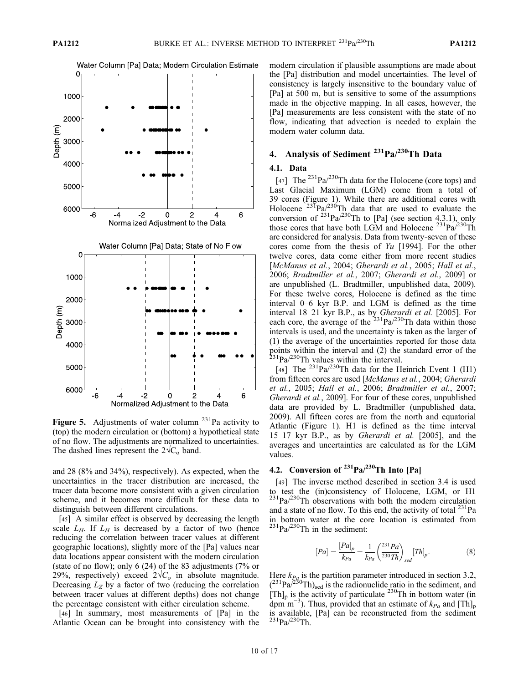Water Column [Pa] Data; Modern Circulation Estimate



Figure 5. Adjustments of water column  $^{231}$ Pa activity to (top) the modern circulation or (bottom) a hypothetical state of no flow. The adjustments are normalized to uncertainties. The dashed lines represent the  $2\sqrt{C_0}$  band.

and 28 (8% and 34%), respectively). As expected, when the uncertainties in the tracer distribution are increased, the tracer data become more consistent with a given circulation scheme, and it becomes more difficult for these data to distinguish between different circulations.

[45] A similar effect is observed by decreasing the length scale  $L_H$ . If  $L_H$  is decreased by a factor of two (hence reducing the correlation between tracer values at different geographic locations), slightly more of the [Pa] values near data locations appear consistent with the modern circulation (state of no flow); only 6 (24) of the 83 adjustments (7% or 29%, respectively) exceed  $2\sqrt{C_o}$  in absolute magnitude. Decreasing  $L_z$  by a factor of two (reducing the correlation between tracer values at different depths) does not change the percentage consistent with either circulation scheme.

[46] In summary, most measurements of [Pa] in the Atlantic Ocean can be brought into consistency with the modern circulation if plausible assumptions are made about the [Pa] distribution and model uncertainties. The level of consistency is largely insensitive to the boundary value of [Pa] at 500 m, but is sensitive to some of the assumptions made in the objective mapping. In all cases, however, the [Pa] measurements are less consistent with the state of no flow, indicating that advection is needed to explain the modern water column data.

# 4. Analysis of Sediment <sup>231</sup>Pa/<sup>230</sup>Th Data

#### 4.1. Data

[47] The  $^{231}Pa/^{230}Th$  data for the Holocene (core tops) and Last Glacial Maximum (LGM) come from a total of 39 cores (Figure 1). While there are additional cores with Holocene  $23^{5}Pa/230$ Th data that are used to evaluate the conversion of  $^{231}Pa/^{230}Th$  to [Pa] (see section 4.3.1), only those cores that have both LGM and Holocene  $^{231}Pa^{230}Th$ are considered for analysis. Data from twenty‐seven of these cores come from the thesis of  $Yu$  [1994]. For the other twelve cores, data come either from more recent studies [McManus et al., 2004; Gherardi et al., 2005; Hall et al., 2006; Bradtmiller et al., 2007; Gherardi et al., 2009] or are unpublished (L. Bradtmiller, unpublished data, 2009). For these twelve cores, Holocene is defined as the time interval 0–6 kyr B.P. and LGM is defined as the time interval 18-21 kyr B.P., as by Gherardi et al. [2005]. For each core, the average of the  $231\text{Pa}/230\text{Th}$  data within those intervals is used, and the uncertainty is taken as the larger of (1) the average of the uncertainties reported for those data points within the interval and (2) the standard error of the  $2^{31}$ Pa/ $2^{30}$ Th values within the interval.

[48] The  $^{231}Pa/^{230}Th$  data for the Heinrich Event 1 (H1) from fifteen cores are used [McManus et al., 2004; Gherardi et al., 2005; Hall et al., 2006; Bradtmiller et al., 2007; Gherardi et al., 2009]. For four of these cores, unpublished data are provided by L. Bradtmiller (unpublished data, 2009). All fifteen cores are from the north and equatorial Atlantic (Figure 1). H1 is defined as the time interval 15–17 kyr B.P., as by Gherardi et al. [2005], and the averages and uncertainties are calculated as for the LGM values.

# 4.2. Conversion of  $231\text{Pa}/230\text{Th}$  Into [Pa]

[49] The inverse method described in section 3.4 is used to test the (in)consistency of Holocene, LGM, or H1  $^{231}Pa^{230}Th$  observations with both the modern circulation and a state of no flow. To this end, the activity of total  $^{231}$ Pa in bottom water at the core location is estimated from  $^{231}Pa/^{230}Th$  in the sediment:

$$
[Pa] = \frac{[Pa]_p}{k_{Pa}} = \frac{1}{k_{Pa}} \left(\frac{^{231}Pa}{^{230}Th}\right)_{sel} [Th]_p.
$$
 (8)

Here  $k_{Pa}$  is the partition parameter introduced in section 3.2,  $(2^{31}Pa^{230}Th)_{sed}$  is the radionuclide ratio in the sediment, and  $[Th]_p$  is the activity of particulate <sup>230</sup>Th in bottom water (in dpm m<sup>-3</sup>). Thus, provided that an estimate of  $k_{Pa}$  and [Th]<sub>p</sub> is available, [Pa] can be reconstructed from the sediment  $^{231}Pa/^{230}Th.$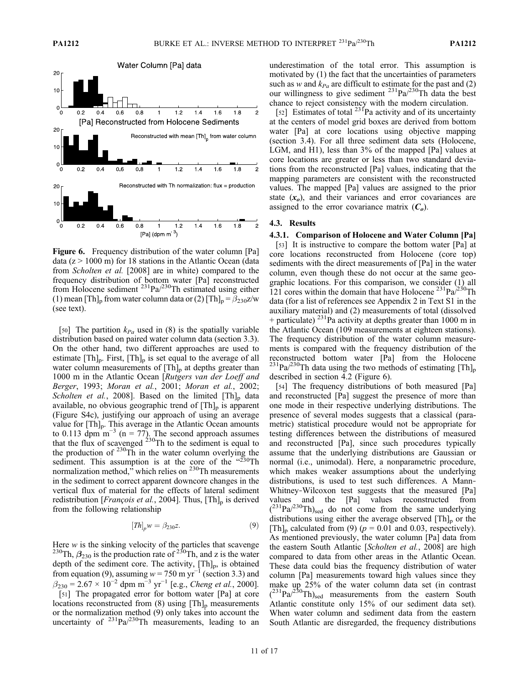

Figure 6. Frequency distribution of the water column [Pa] data ( $z > 1000$  m) for 18 stations in the Atlantic Ocean (data from Scholten et al. [2008] are in white) compared to the frequency distribution of bottom water [Pa] reconstructed from Holocene sediment  $2^{31}Pa^{230}Th$  estimated using either (1) mean [Th]<sub>p</sub> from water column data or (2) [Th]<sub>p</sub> =  $\beta_{230}z/w$ (see text).

[50] The partition  $k_{Pa}$  used in (8) is the spatially variable distribution based on paired water column data (section 3.3). On the other hand, two different approaches are used to estimate  $[Th]_p$ . First,  $[Th]_p$  is set equal to the average of all water column measurements of  $[Th]_p$  at depths greater than 1000 m in the Atlantic Ocean [Rutgers van der Loeff and Berger, 1993; Moran et al., 2001; Moran et al., 2002; Scholten et al., 2008]. Based on the limited  $[Th]_p$  data available, no obvious geographic trend of  $[Th]_p$  is apparent (Figure S4c), justifying our approach of using an average value for  $[Th]_p$ . This average in the Atlantic Ocean amounts to 0.113 dpm m<sup>-3</sup> (n = 77). The second approach assumes that the flux of scavenged  $^{230}$ Th to the sediment is equal to the production of  $^{230}$ Th in the water column overlying the sediment. This assumption is at the core of the "230Th normalization method," which relies on <sup>230</sup>Th measurements in the sediment to correct apparent downcore changes in the vertical flux of material for the effects of lateral sediment redistribution [*François et al.*, 2004]. Thus,  $[Th]_p$  is derived from the following relationship

$$
[Th]_p w = \beta_{230} z. \tag{9}
$$

Here w is the sinking velocity of the particles that scavenge <sup>230</sup>Th,  $\beta_{230}$  is the production rate of <sup>230</sup>Th, and z is the water depth of the sediment core. The activity, [Th]<sub>p</sub>, is obtained from equation (9), assuming  $w = 750$  m yr<sup>-1</sup> (section 3.3) and  $\beta_{230} = 2.67 \times 10^{-2}$  dpm m<sup>-3</sup> yr<sup>-1</sup> [e.g., *Cheng et al.*, 2000]. [51] The propagated error for bottom water [Pa] at core locations reconstructed from  $(8)$  using  $[Th]_p$  measurements or the normalization method (9) only takes into account the uncertainty of  $231\text{Pa}/230\text{Th}$  measurements, leading to an

underestimation of the total error. This assumption is motivated by (1) the fact that the uncertainties of parameters such as w and  $k_{Pa}$  are difficult to estimate for the past and (2) our willingness to give sediment  $^{231}Pa^{230}Th$  data the best chance to reject consistency with the modern circulation.

[52] Estimates of total  $23^{1}$ Pa activity and of its uncertainty at the centers of model grid boxes are derived from bottom water [Pa] at core locations using objective mapping (section 3.4). For all three sediment data sets (Holocene, LGM, and H1), less than 3% of the mapped [Pa] values at core locations are greater or less than two standard deviations from the reconstructed [Pa] values, indicating that the mapping parameters are consistent with the reconstructed values. The mapped [Pa] values are assigned to the prior state  $(x<sub>o</sub>)$ , and their variances and error covariances are assigned to the error covariance matrix  $(C<sub>o</sub>)$ .

### 4.3. Results

#### 4.3.1. Comparison of Holocene and Water Column [Pa]

[53] It is instructive to compare the bottom water [Pa] at core locations reconstructed from Holocene (core top) sediments with the direct measurements of [Pa] in the water column, even though these do not occur at the same geographic locations. For this comparison, we consider (1) all 121 cores within the domain that have Holocene  $^{231}Pa^{230}Th$ data (for a list of references see Appendix 2 in Text S1 in the auxiliary material) and (2) measurements of total (dissolved + particulate)  $^{231}$ Pa activity at depths greater than 1000 m in the Atlantic Ocean (109 measurements at eighteen stations). The frequency distribution of the water column measurements is compared with the frequency distribution of the reconstructed bottom water [Pa] from the Holocene <sup>231</sup>Pa<sup> $/230$ </sup>Th data using the two methods of estimating [Th]<sub>p</sub> described in section 4.2 (Figure 6).

[54] The frequency distributions of both measured [Pa] and reconstructed [Pa] suggest the presence of more than one mode in their respective underlying distributions. The presence of several modes suggests that a classical (parametric) statistical procedure would not be appropriate for testing differences between the distributions of measured and reconstructed [Pa], since such procedures typically assume that the underlying distributions are Gaussian or normal (i.e., unimodal). Here, a nonparametric procedure, which makes weaker assumptions about the underlying distributions, is used to test such differences. A Mann‐ Whitney-Wilcoxon test suggests that the measured [Pa] values and the [Pa] values reconstructed from  $(^{231}Pa^{230}Th)_{\text{sed}}$  do not come from the same underlying distributions using either the average observed  $[Th]_p$  or the [Th]<sub>p</sub> calculated from (9) ( $p = 0.01$  and 0.03, respectively). As mentioned previously, the water column [Pa] data from the eastern South Atlantic [Scholten et al., 2008] are high compared to data from other areas in the Atlantic Ocean. These data could bias the frequency distribution of water column [Pa] measurements toward high values since they make up 25% of the water column data set (in contrast  $(^{231}Pa/^{230}Th)_{\text{sed}}$  measurements from the eastern South Atlantic constitute only 15% of our sediment data set). When water column and sediment data from the eastern South Atlantic are disregarded, the frequency distributions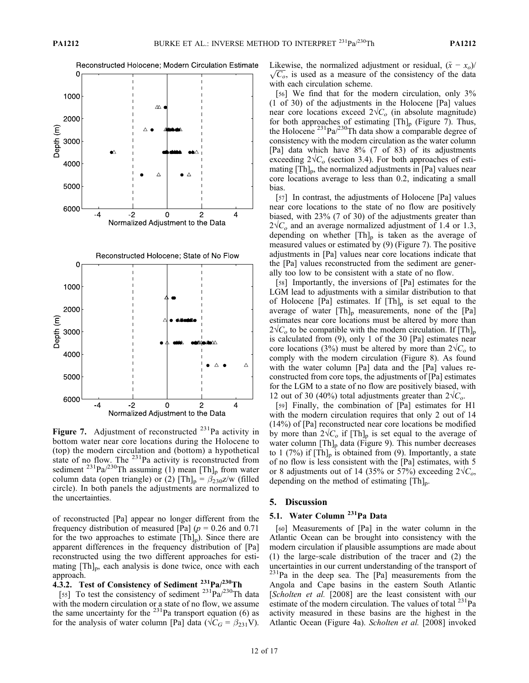

Figure 7. Adjustment of reconstructed  $^{231}$ Pa activity in bottom water near core locations during the Holocene to (top) the modern circulation and (bottom) a hypothetical state of no flow. The  $^{231}$ Pa activity is reconstructed from sediment <sup>231</sup>Pa/<sup>230</sup>Th assuming (1) mean [Th]<sub>p</sub> from water column data (open triangle) or (2)  $[Th]_p = \beta_{230}z/w$  (filled circle). In both panels the adjustments are normalized to the uncertainties.

of reconstructed [Pa] appear no longer different from the frequency distribution of measured [Pa] ( $p = 0.26$  and 0.71 for the two approaches to estimate  $[Th]_p$ ). Since there are apparent differences in the frequency distribution of [Pa] reconstructed using the two different approaches for estimating  $[Th]_p$ , each analysis is done twice, once with each approach.

# 4.3.2. Test of Consistency of Sediment <sup>231</sup>Pa/<sup>230</sup>Th

[55] To test the consistency of sediment  $^{231}Pa^{230}Th$  data with the modern circulation or a state of no flow, we assume the same uncertainty for the  $^{231}$ Pa transport equation (6) as for the analysis of water column [Pa] data ( $\sqrt{C_G} = \beta_{231}V$ ). Likewise, the normalized adjustment or residual,  $(\tilde{x} - x_o)/\sqrt{C_o}$ , is used as a measure of the consistency of the data with each circulation scheme.

[56] We find that for the modern circulation, only 3% (1 of 30) of the adjustments in the Holocene [Pa] values near core locations exceed  $2\sqrt{C_o}$  (in absolute magnitude) for both approaches of estimating  $[Th]_p$  (Figure 7). Thus, the Holocene  $^{231}$ Pa $/^{230}$ Th data show a comparable degree of consistency with the modern circulation as the water column [Pa] data which have 8% (7 of 83) of its adjustments exceeding  $2\sqrt{C_o}$  (section 3.4). For both approaches of estimating  $[Th]_p$ , the normalized adjustments in  $[Pa]$  values near core locations average to less than 0.2, indicating a small bias.

[57] In contrast, the adjustments of Holocene [Pa] values near core locations to the state of no flow are positively biased, with 23% (7 of 30) of the adjustments greater than  $2\sqrt{C_0}$  and an average normalized adjustment of 1.4 or 1.3, depending on whether  $[Th]_p$  is taken as the average of measured values or estimated by (9) (Figure 7). The positive adjustments in [Pa] values near core locations indicate that the [Pa] values reconstructed from the sediment are generally too low to be consistent with a state of no flow.

[58] Importantly, the inversions of [Pa] estimates for the LGM lead to adjustments with a similar distribution to that of Holocene [Pa] estimates. If  $[Th]_p$  is set equal to the average of water  $[Th]_p$  measurements, none of the  $[Pa]$ estimates near core locations must be altered by more than  $2\sqrt{C_0}$  to be compatible with the modern circulation. If [Th]<sub>p</sub> is calculated from (9), only 1 of the 30 [Pa] estimates near core locations (3%) must be altered by more than  $2\sqrt{C_o}$  to comply with the modern circulation (Figure 8). As found with the water column [Pa] data and the [Pa] values reconstructed from core tops, the adjustments of [Pa] estimates for the LGM to a state of no flow are positively biased, with 12 out of 30 (40%) total adjustments greater than  $2\sqrt{C_{\text{o}}}$ .

[59] Finally, the combination of [Pa] estimates for H1 with the modern circulation requires that only 2 out of 14 (14%) of [Pa] reconstructed near core locations be modified by more than  $2\sqrt{C_o}$  if  $[Th]_p$  is set equal to the average of water column  $[Th]_p$  data (Figure 9). This number decreases to 1 (7%) if  $[Th]_p$  is obtained from (9). Importantly, a state of no flow is less consistent with the [Pa] estimates, with 5 or 8 adjustments out of 14 (35% or 57%) exceeding  $2\sqrt{C_{\omega}}$ , depending on the method of estimating  $[Th]_{p}$ .

# 5. Discussion

# 5.1. Water Column<sup>231</sup>Pa Data

[60] Measurements of [Pa] in the water column in the Atlantic Ocean can be brought into consistency with the modern circulation if plausible assumptions are made about (1) the large‐scale distribution of the tracer and (2) the uncertainties in our current understanding of the transport of  $231$ Pa in the deep sea. The [Pa] measurements from the Angola and Cape basins in the eastern South Atlantic [Scholten et al. [2008] are the least consistent with our estimate of the modern circulation. The values of total  $^{231}$ Pa activity measured in these basins are the highest in the Atlantic Ocean (Figure 4a). Scholten et al. [2008] invoked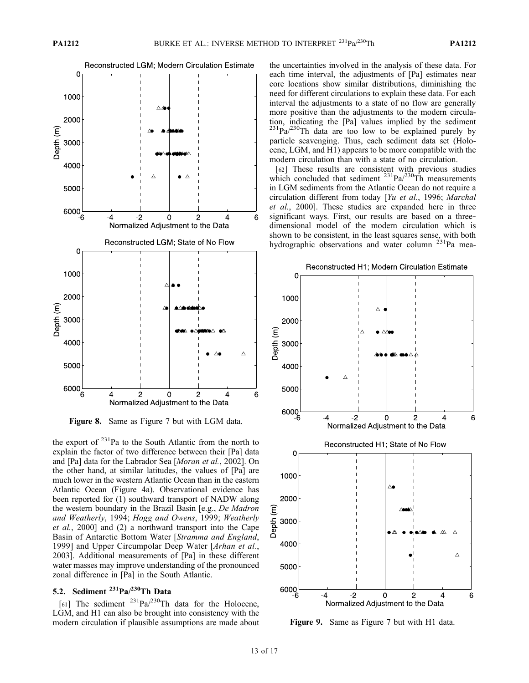

Figure 8. Same as Figure 7 but with LGM data.

the export of 231Pa to the South Atlantic from the north to explain the factor of two difference between their [Pa] data and [Pa] data for the Labrador Sea [Moran et al., 2002]. On the other hand, at similar latitudes, the values of [Pa] are much lower in the western Atlantic Ocean than in the eastern Atlantic Ocean (Figure 4a). Observational evidence has been reported for (1) southward transport of NADW along the western boundary in the Brazil Basin [e.g., De Madron and Weatherly, 1994; Hogg and Owens, 1999; Weatherly et al., 2000] and (2) a northward transport into the Cape Basin of Antarctic Bottom Water [Stramma and England, 1999] and Upper Circumpolar Deep Water [Arhan et al., 2003]. Additional measurements of [Pa] in these different water masses may improve understanding of the pronounced zonal difference in [Pa] in the South Atlantic.

# 5.2. Sediment  $231$ Pa $/230$ Th Data

[61] The sediment  $^{231}Pa/^{230}Th$  data for the Holocene, LGM, and H1 can also be brought into consistency with the modern circulation if plausible assumptions are made about the uncertainties involved in the analysis of these data. For each time interval, the adjustments of [Pa] estimates near core locations show similar distributions, diminishing the need for different circulations to explain these data. For each interval the adjustments to a state of no flow are generally more positive than the adjustments to the modern circulation, indicating the [Pa] values implied by the sediment  $^{231}Pa/^{230}Th$  data are too low to be explained purely by particle scavenging. Thus, each sediment data set (Holocene, LGM, and H1) appears to be more compatible with the modern circulation than with a state of no circulation.

[62] These results are consistent with previous studies which concluded that sediment  $^{231}Pa^{230}Th$  measurements in LGM sediments from the Atlantic Ocean do not require a circulation different from today [Yu et al., 1996; Marchal et al., 2000]. These studies are expanded here in three significant ways. First, our results are based on a threedimensional model of the modern circulation which is shown to be consistent, in the least squares sense, with both hydrographic observations and water column  $^{231}$ Pa mea-



Figure 9. Same as Figure 7 but with H1 data.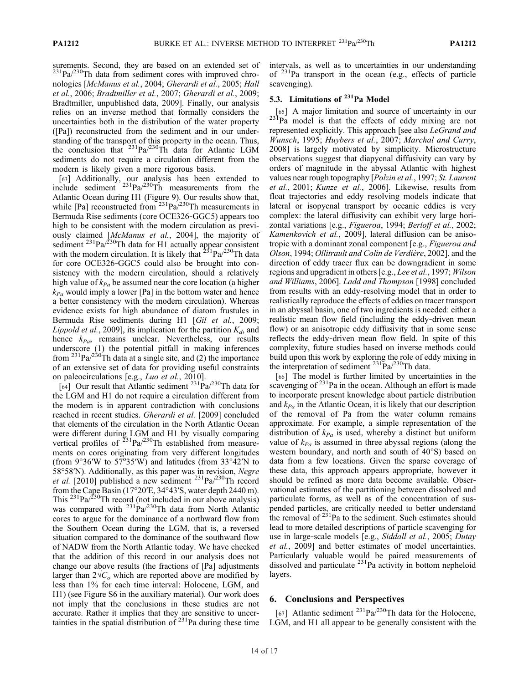surements. Second, they are based on an extended set of  $^{231}Pa^{230}Th$  data from sediment cores with improved chronologies [McManus et al., 2004; Gherardi et al., 2005; Hall et al., 2006; Bradtmiller et al., 2007; Gherardi et al., 2009; Bradtmiller, unpublished data, 2009]. Finally, our analysis relies on an inverse method that formally considers the uncertainties both in the distribution of the water property ([Pa]) reconstructed from the sediment and in our understanding of the transport of this property in the ocean. Thus, the conclusion that  $^{231}Pa^{230}Th$  data for Atlantic LGM sediments do not require a circulation different from the modern is likely given a more rigorous basis.

[63] Additionally, our analysis has been extended to include sediment  $^{231}$ Pa $/^{230}$ Th measurements from the Atlantic Ocean during H1 (Figure 9). Our results show that, while [Pa] reconstructed from  $231Pa^{230}$ Th measurements in Bermuda Rise sediments (core OCE326‐GGC5) appears too high to be consistent with the modern circulation as previously claimed [McManus et al., 2004], the majority of sediment  $^{231}Pa^{230}Th$  data for H1 actually appear consistent with the modern circulation. It is likely that  $2^{31}Pa^{230}Th$  data for core OCE326‐GGC5 could also be brought into consistency with the modern circulation, should a relatively high value of  $k_{Pa}$  be assumed near the core location (a higher  $k_{Pa}$  would imply a lower [Pa] in the bottom water and hence a better consistency with the modern circulation). Whereas evidence exists for high abundance of diatom frustules in Bermuda Rise sediments during H1 [Gil et al., 2009; Lippold et al., 2009], its implication for the partition  $K_d$ , and hence  $k_{Pa}$ , remains unclear. Nevertheless, our results underscore (1) the potential pitfall in making inferences from  $^{231}Pa/^{230}Th$  data at a single site, and (2) the importance of an extensive set of data for providing useful constraints on paleocirculations [e.g., Luo et al., 2010].

[64] Our result that Atlantic sediment <sup>231</sup>Pa/<sup>230</sup>Th data for the LGM and H1 do not require a circulation different from the modern is in apparent contradiction with conclusions reached in recent studies. Gherardi et al. [2009] concluded that elements of the circulation in the North Atlantic Ocean were different during LGM and H1 by visually comparing vertical profiles of  $231\text{Pa}/230\text{Th}$  established from measurements on cores originating from very different longitudes (from  $9^{\circ}36'W$  to  $57^{\circ}35'W$ ) and latitudes (from  $33^{\circ}42'N$  to 58°58′N). Additionally, as this paper was in revision, Negre et al. [2010] published a new sediment  $^{231}Pa^{230}Th$  record from the Cape Basin (17°20′E, 34°43′S, water depth 2440 m). This  $^{231}Pa^{230}Th$  record (not included in our above analysis) was compared with <sup>231</sup>Pa/<sup>230</sup>Th data from North Atlantic cores to argue for the dominance of a northward flow from the Southern Ocean during the LGM, that is, a reversed situation compared to the dominance of the southward flow of NADW from the North Atlantic today. We have checked that the addition of this record in our analysis does not change our above results (the fractions of [Pa] adjustments larger than  $2\sqrt{C_0}$  which are reported above are modified by less than 1% for each time interval: Holocene, LGM, and H1) (see Figure S6 in the auxiliary material). Our work does not imply that the conclusions in these studies are not accurate. Rather it implies that they are sensitive to uncertainties in the spatial distribution of  $231$ Pa during these time

intervals, as well as to uncertainties in our understanding of  $^{231}$ Pa transport in the ocean (e.g., effects of particle scavenging).

# 5.3. Limitations of <sup>231</sup>Pa Model

[65] A major limitation and source of uncertainty in our 231Pa model is that the effects of eddy mixing are not represented explicitly. This approach [see also LeGrand and Wunsch, 1995; Huybers et al., 2007; Marchal and Curry, 2008] is largely motivated by simplicity. Microstructure observations suggest that diapycnal diffusivity can vary by orders of magnitude in the abyssal Atlantic with highest values near rough topography [*Polzin et al.*, 1997; St. Laurent et al., 2001; Kunze et al., 2006]. Likewise, results from float trajectories and eddy resolving models indicate that lateral or isopycnal transport by oceanic eddies is very complex: the lateral diffusivity can exhibit very large horizontal variations [e.g., Figueroa, 1994; Berloff et al., 2002; Kamenkovich et al., 2009], lateral diffusion can be anisotropic with a dominant zonal component [e.g., Figueroa and Olson, 1994; Ollitrault and Colin de Verdière, 2002], and the direction of eddy tracer flux can be downgradient in some regions and upgradient in others [e.g., Lee et al., 1997; Wilson and Williams, 2006]. Ladd and Thompson [1998] concluded from results with an eddy‐resolving model that in order to realistically reproduce the effects of eddies on tracer transport in an abyssal basin, one of two ingredients is needed: either a realistic mean flow field (including the eddy‐driven mean flow) or an anisotropic eddy diffusivity that in some sense reflects the eddy‐driven mean flow field. In spite of this complexity, future studies based on inverse methods could build upon this work by exploring the role of eddy mixing in the interpretation of sediment  $^{231}Pa^{230}Th$  data.

[66] The model is further limited by uncertainties in the scavenging of  $231$ Pa in the ocean. Although an effort is made to incorporate present knowledge about particle distribution and  $k_{Pa}$  in the Atlantic Ocean, it is likely that our description of the removal of Pa from the water column remains approximate. For example, a simple representation of the distribution of  $k_{Pa}$  is used, whereby a distinct but uniform value of  $k_{Pa}$  is assumed in three abyssal regions (along the western boundary, and north and south of 40°S) based on data from a few locations. Given the sparse coverage of these data, this approach appears appropriate, however it should be refined as more data become available. Observational estimates of the partitioning between dissolved and particulate forms, as well as of the concentration of suspended particles, are critically needed to better understand the removal of  $2^{31}$ Pa to the sediment. Such estimates should lead to more detailed descriptions of particle scavenging for use in large-scale models [e.g., Siddall et al., 2005; Dutay et al., 2009] and better estimates of model uncertainties. Particularly valuable would be paired measurements of dissolved and particulate  $231$ Pa activity in bottom nepheloid layers.

## 6. Conclusions and Perspectives

[67] Atlantic sediment  $^{231}Pa^{230}Th$  data for the Holocene, LGM, and H1 all appear to be generally consistent with the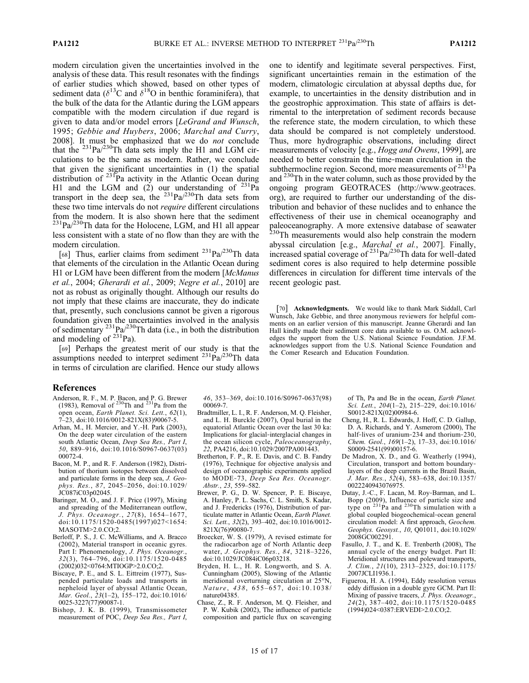modern circulation given the uncertainties involved in the analysis of these data. This result resonates with the findings of earlier studies which showed, based on other types of sediment data ( $\delta^{13}$ C and  $\delta^{18}$ O in benthic foraminifera), that the bulk of the data for the Atlantic during the LGM appears compatible with the modern circulation if due regard is given to data and/or model errors [LeGrand and Wunsch, 1995; Gebbie and Huybers, 2006; Marchal and Curry, 2008]. It must be emphasized that we do not conclude that the  $^{231}Pa/^{230}Th$  data sets imply the H1 and LGM circulations to be the same as modern. Rather, we conclude that given the significant uncertainties in (1) the spatial distribution of  $^{231}$ Pa activity in the Atlantic Ocean during H1 and the LGM and  $(2)$  our understanding of  $^{231}$ Pa transport in the deep sea, the  $^{231}Pa^{230}Th$  data sets from these two time intervals do not require different circulations from the modern. It is also shown here that the sediment  $^{231}$ Pa/ $^{230}$ Th data for the Holocene, LGM, and H1 all appear less consistent with a state of no flow than they are with the modern circulation.

[68] Thus, earlier claims from sediment  $231\text{Pa}/230\text{Th}$  data that elements of the circulation in the Atlantic Ocean during H1 or LGM have been different from the modern [McManus et al., 2004; Gherardi et al., 2009; Negre et al., 2010] are not as robust as originally thought. Although our results do not imply that these claims are inaccurate, they do indicate that, presently, such conclusions cannot be given a rigorous foundation given the uncertainties involved in the analysis of sedimentary  $^{231}Pa^{230}Th$  data (i.e., in both the distribution and modeling of <sup>231</sup>Pa).

[69] Perhaps the greatest merit of our study is that the assumptions needed to interpret sediment  $^{231}Pa^{230}Th$  data in terms of circulation are clarified. Hence our study allows

### References

- Anderson, R. F., M. P. Bacon, and P. G. Brewer (1983), Removal of  $^{230}$ Th and  $^{231}$ Pa from the open ocean, Earth Planet. Sci. Lett., 62(1), 7–23, doi:10.1016/0012-821X(83)90067-5.
- Arhan, M., H. Mercier, and Y.‐H. Park (2003), On the deep water circulation of the eastern south Atlantic Ocean, Deep Sea Res., Part I, 50, 889–916, doi:10.1016/S0967-0637(03) 00072-4.
- Bacon, M. P., and R. F. Anderson (1982), Distribution of thorium isotopes between dissolved and particulate forms in the deep sea, J. Geophys. Res., 87, 2045–2056, doi:10.1029/ JC087iC03p02045.
- Baringer, M. O., and J. F. Price (1997), Mixing and spreading of the Mediterranean outflow, J. Phys. Oceanogr., 27(8), 1654–1677, doi:10.1175/1520-0485(1997)027<1654: MASOTM>2.0.CO;2.
- Berloff, P. S., J. C. McWilliams, and A. Bracco (2002), Material transport in oceanic gyres. Part I: Phenomenology, J. Phys. Oceanogr., 32(3), 764–796, doi:10.1175/1520-0485 (2002)032<0764:MTIOGP>2.0.CO;2.
- Biscaye, P. E., and S. L. Eittreim (1977), Suspended particulate loads and transports in nepheloid layer of abyssal Atlantic Ocean, Mar. Geol., 23(1–2), 155–172, doi:10.1016/ 0025-3227(77)90087-1.
- Bishop, J. K. B. (1999), Transmissometer measurement of POC, Deep Sea Res., Part I,

46, 353–369, doi:10.1016/S0967-0637(98) 00069-7.

- Bradtmiller, L. I., R. F. Anderson, M. Q. Fleisher, and L. H. Burckle (2007), Opal burial in the equatorial Atlantic Ocean over the last 30 ka: Implications for glacial‐interglacial changes in the ocean silicon cycle, Paleoceanography, 22, PA4216, doi:10.1029/2007PA001443.
- Bretherton, F. P., R. E. Davis, and C. B. Fandry (1976), Technique for objective analysis and design of oceanographic experiments applied to MODE-73, Deep Sea Res. Oceanogr. Abstr., 23, 559–582.
- Brewer, P. G., D. W. Spencer, P. E. Biscaye, A. Hanley, P. L. Sachs, C. L. Smith, S. Kadar, and J. Fredericks (1976), Distribution of particulate matter in Atlantic Ocean, Earth Planet. Sci. Lett., 32(2), 393–402, doi:10.1016/0012- 821X(76)90080-7.
- Broecker, W. S. (1979), A revised estimate for the radiocarbon age of North Atlantic deep water, J. Geophys. Res., 84, 3218–3226, doi:10.1029/JC084iC06p03218.
- Bryden, H. L., H. R. Longworth, and S. A. Cunningham (2005), Slowing of the Atlantic meridional overturning circulation at 25°N, Nature, 438, 655-657, doi:10.1038/ nature04385.
- Chase, Z., R. F. Anderson, M. Q. Fleisher, and P. W. Kubik (2002), The influence of particle composition and particle flux on scavenging

one to identify and legitimate several perspectives. First, significant uncertainties remain in the estimation of the modern, climatologic circulation at abyssal depths due, for example, to uncertainties in the density distribution and in the geostrophic approximation. This state of affairs is detrimental to the interpretation of sediment records because the reference state, the modern circulation, to which these data should be compared is not completely understood. Thus, more hydrographic observations, including direct measurements of velocity [e.g., Hogg and Owens, 1999], are needed to better constrain the time‐mean circulation in the subthermocline region. Second, more measurements of  $231$ Pa and <sup>230</sup>Th in the water column, such as those provided by the ongoing program GEOTRACES (http://www.geotraces. org), are required to further our understanding of the distribution and behavior of these nuclides and to enhance the effectiveness of their use in chemical oceanography and paleoceanography. A more extensive database of seawater  $230$ Th measurements would also help constrain the modern abyssal circulation [e.g., Marchal et al., 2007]. Finally, increased spatial coverage of <sup>231</sup>Pa/<sup>230</sup>Th data for well-dated sediment cores is also required to help determine possible differences in circulation for different time intervals of the recent geologic past.

[70] Acknowledgments. We would like to thank Mark Siddall, Carl Wunsch, Jake Gebbie, and three anonymous reviewers for helpful comments on an earlier version of this manuscript. Jeanne Gherardi and Ian Hall kindly made their sediment core data available to us. O.M. acknowledges the support from the U.S. National Science Foundation. J.F.M. acknowledges support from the U.S. National Science Foundation and the Comer Research and Education Foundation.

> of Th, Pa and Be in the ocean, Earth Planet. Sci. Lett., 204(1-2), 215-229, doi:10.1016/ S0012-821X(02)00984-6.

- Cheng, H., R. L. Edwards, J. Hoff, C. D. Gallup, D. A. Richards, and Y. Asmerom (2000), The half-lives of uranium-234 and thorium-230, Chem. Geol., 169(1–2), 17–33, doi:10.1016/ S0009-2541(99)00157-6.
- De Madron, X. D., and G. Weatherly (1994), Circulation, transport and bottom boundary‐ layers of the deep currents in the Brazil Basin, J. Mar. Res.,  $52(4)$ , 583–638, doi:10.1357/ 0022240943076975.
- Dutay, J.‐C., F. Lacan, M. Roy‐Barman, and L. Bopp (2009), Influence of particle size and type on  $^{231}$ Pa and  $^{230}$ Th simulation with a global coupled biogeochemical‐ocean general circulation model: A first approach, Geochem. Geophys. Geosyst., 10, Q01011, doi:10.1029/ 2008GC002291.
- Fasullo, J. T., and K. E. Trenberth (2008), The annual cycle of the energy budget. Part II: Meridional structures and poleward transports, J. Clim., 21(10), 2313–2325, doi:10.1175/ 2007JCLI1936.1.
- Figueroa, H. A. (1994), Eddy resolution versus eddy diffusion in a double gyre GCM. Part II: Mixing of passive tracers, J. Phys. Oceanogr., 24(2), 387–402, doi:10.1175/1520-0485 (1994)024<0387:ERVEDI>2.0.CO;2.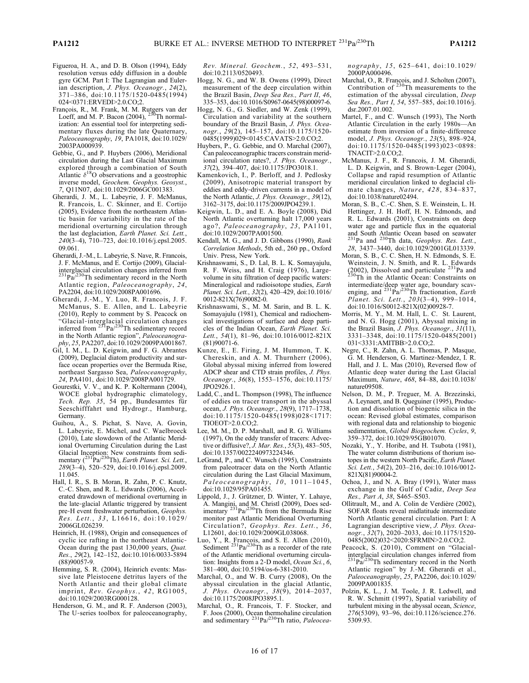- Figueroa, H. A., and D. B. Olson (1994), Eddy resolution versus eddy diffusion in a double gyre GCM. Part I: The Lagrangian and Eulerian description, J. Phys. Oceanogr., 24(2), 371–386, doi:10.1175/1520-0485(1994) 024<0371:ERVEDI>2.0.CO;2.
- François, R., M. Frank, M. M. Rutgers van der<br>Loeff, and M. P. Bacon (2004), <sup>230</sup>Th normalization: An essential tool for interpreting sedimentary fluxes during the late Quaternary, Paleoceanography, 19, PA1018, doi:10.1029/ 2003PA000939.
- Gebbie, G., and P. Huybers (2006), Meridional circulation during the Last Glacial Maximum explored through a combination of South Atlantic  $\delta^{18}$ O observations and a geostrophic inverse model, Geochem. Geophys. Geosyst., 7, Q11N07, doi:10.1029/2006GC001383.
- Gherardi, J. M., L. Labeyrie, J. F. McManus, R. Francois, L. C. Skinner, and E. Cortijo (2005), Evidence from the northeastern Atlantic basin for variability in the rate of the meridional overturning circulation through the last deglaciation, Earth Planet. Sci. Lett., 240(3–4), 710–723, doi:10.1016/j.epsl.2005. 09.061.
- Gherardi, J.‐M., L. Labeyrie, S. Nave, R. Francois, J. F. McManus, and E. Cortijo (2009), Glacial‐ interglacial circulation changes inferred from<br><sup>231</sup>Pa/<sup>230</sup>Th sedimentary record in the North Atlantic region, Paleoceanography, 24, PA2204, doi:10.1029/2008PA001696.
- Gherardi, J.‐M., Y. Luo, R. Francois, J. F. McManus, S. E. Allen, and L. Labeyrie (2010), Reply to comment by S. Peacock on "Glacial-interglacial circulation changes<br>inferred from <sup>231</sup>Pa/<sup>230</sup>Th sedimentary record in the North Atlantic region", Paleoceanography, 25, PA2207, doi:10.1029/2009PA001867.
- Gil, I. M., L. D. Keigwin, and F. G. Abrantes (2009), Deglacial diatom productivity and surface ocean properties over the Bermuda Rise, northeast Sargasso Sea, Paleoceanography, 24, PA4101, doi:10.1029/2008PA001729.
- Gourestki, V. V., and K. P. Koltermann (2004), WOCE global hydrographic climatology, Tech. Rep. 35, 54 pp., Bundesamtes für Seeschifffahrt und Hydrogr., Hamburg, Germany.
- Guihou, A., S. Pichat, S. Nave, A. Govin, L. Labeyrie, E. Michel, and C. Waelbroeck (2010), Late slowdown of the Atlantic Meridional Overturning Circulation during the Last Glacial Inception: New constraints from sedi-<br>mentary (<sup>231</sup>Pa/<sup>230</sup>Th), *Earth Planet. Sci. Lett.*, 289(3–4), 520–529, doi:10.1016/j.epsl.2009. 11.045.
- Hall, I. R., S. B. Moran, R. Zahn, P. C. Knutz, C.‐C. Shen, and R. L. Edwards (2006), Accelerated drawdown of meridional overturning in the late‐glacial Atlantic triggered by transient pre-H event freshwater perturbation, Geophys. Res. Lett., 33, L16616, doi:10.1029/ 2006GL026239.
- Heinrich, H. (1988), Origin and consequences of cyclic ice rafting in the northeast Atlantic‐ Ocean during the past 130,000 years, Quat. Res., 29(2), 142–152, doi:10.1016/0033-5894 (88)90057-9.
- Hemming, S. R. (2004), Heinrich events: Massive late Pleistocene detritus layers of the North Atlantic and their global climate imprint, Rev. Geophys., 42, RG1005, doi:10.1029/2003RG000128.
- Henderson, G. M., and R. F. Anderson (2003), The U-series toolbox for paleoceanography,

Rev. Mineral. Geochem., 52, 493–531, doi:10.2113/0520493.

- Hogg, N. G., and W. B. Owens (1999), Direct measurement of the deep circulation within the Brazil Basin, Deep Sea Res., Part II, 46, 335–353, doi:10.1016/S0967-0645(98)00097-6.
- Hogg, N. G., G. Siedler, and W. Zenk (1999), Circulation and variability at the southern boundary of the Brazil Basin, J. Phys. Oceanogr., 29(2), 145–157, doi:10.1175/1520- 0485(1999)029<0145:CAVATS>2.0.CO;2.
- Huybers, P., G. Gebbie, and O. Marchal (2007), Can paleoceanographic tracers constrain meridional circulation rates?, J. Phys. Oceanogr., 37(2), 394–407, doi:10.1175/JPO3018.1.
- Kamenkovich, I., P. Berloff, and J. Pedlosky (2009), Anisotropic material transport by eddies and eddy‐driven currents in a model of the North Atlantic, J. Phys. Oceanogr., 39(12), 3162–3175, doi:10.1175/2009JPO4239.1.
- Keigwin, L. D., and E. A. Boyle (2008), Did North Atlantic overturning halt 17,000 years ago?, Paleoceanography, 23, PA1101, doi:10.1029/2007PA001500.
- Kendall, M. G., and J. D. Gibbons (1990), Rank Correlation Methods, 5th ed., 260 pp., Oxford Univ. Press, New York.
- Krishnaswami, S., D. Lal, B. L. K. Somayajulu, R. F. Weiss, and H. Craig (1976), Large‐ volume in situ filtration of deep pacific waters: Mineralogical and radioisotope studies, Earth Planet. Sci. Lett., 32(2), 420–429, doi:10.1016/ 0012-821X(76)90082-0.
- Krishnaswami, S., M. M. Sarin, and B. L. K. Somayajulu (1981), Chemical and radiochemical investigations of surface and deep particles of the Indian Ocean, Earth Planet. Sci. Lett., 54(1), 81-96, doi:10.1016/0012-821X (81)90071-6.
- Kunze, E., E. Firing, J. M. Hummon, T. K. Chereskin, and A. M. Thurnherr (2006), Global abyssal mixing inferred from lowered ADCP shear and CTD strain profiles, J. Phys. Oceanogr., 36(8), 1553–1576, doi:10.1175/ JPO2926.1.
- Ladd, C., and L. Thompson (1998), The influence of eddies on tracer transport in the abyssal ocean, J. Phys. Oceanogr., 28(9), 1717–1738, doi:10.1175/1520-0485(1998)028<1717: TIOEOT>2.0.CO;2.
- Lee, M. M., D. P. Marshall, and R. G. Williams (1997), On the eddy transfer of tracers: Advective or diffusive?,  $\dot{J}$ . Mar. Res., 55(3), 483–505, doi:10.1357/0022240973224346.
- LeGrand, P., and C. Wunsch (1995), Constraints from paleotracer data on the North Atlantic circulation during the Last Glacial Maximum,  $Paleo ceanography$ ,  $10$ ,  $1011-1045$ , doi:10.1029/95PA01455.
- Lippold, J., J. Grützner, D. Winter, Y. Lahaye, A. Mangini, and M. Christl (2009), Does sedimentary  $^{231}$ Pa $^{230}$ Th from the Bermuda Rise monitor past Atlantic Meridional Overturning Circulation?, Geophys. Res. Lett., 36, L12601, doi:10.1029/2009GL038068.
- Luo, Y., R. Francois, and S. E. Allen (2010), Sediment  $^{231}Pa/^{230}Th$  as a recorder of the rate of the Atlantic meridional overturning circulation: Insights from a 2-D model, Ocean Sci., 6, 381–400, doi:10.5194/os-6-381-2010.
- Marchal, O., and W. B. Curry (2008), On the abyssal circulation in the glacial Atlantic,<br> $J Phvs. Oceanoor 38(9) 2014-2037$ Phys. Oceanogr.,  $38(9)$ ,  $2014-2037$ , doi:10.1175/2008JPO3895.1.
- Marchal, O., R. Francois, T. F. Stocker, and F. Joos (2000), Ocean thermohaline circulation<br>and sedimentary  $^{231}Pa/^{230}Th$  ratio, *Paleocea*-

nography, 15, 625–641, doi:10.1029/ 2000PA000496.

- Marchal, O., R. Francois, and J. Scholten (2007),<br>Contribution of  $^{230}$ Th measurements to the estimation of the abyssal circulation, Deep Sea Res., Part I, 54, 557–585, doi:10.1016/j. dsr.2007.01.002.
- Martel, F., and C. Wunsch (1993), The North Atlantic Circulation in the early 1980s—An estimate from inversion of a finite‐difference model, J. Phys. Oceanogr., 23(5), 898–924, doi:10.1175/1520-0485(1993)023<0898: TNACIT>2.0.CO;2.
- McManus, J. F., R. Francois, J. M. Gherardi, L. D. Keigwin, and S. Brown‐Leger (2004), Collapse and rapid resumption of Atlantic meridional circulation linked to deglacial climate changes, Nature, 428, 834–837, doi:10.1038/nature02494.
- Moran, S. B., C.‐C. Shen, S. E. Weinstein, L. H. Hettinger, J. H. Hoff, H. N. Edmonds, and R. L. Edwards (2001), Constraints on deep water age and particle flux in the equatorial and South Atlantic Ocean based on seawater<br><sup>231</sup>Pa and <sup>230</sup>Th data, *Geophys. Res. Lett.*, 28, 3437–3440, doi:10.1029/2001GL013339.
- Moran, S. B., C. C. Shen, H. N. Edmonds, S. E. Weinstein, J. N. Smith, and R. L. Edwards<br>(2002), Dissolved and particulate <sup>231</sup>Pa and<br><sup>230</sup>Th in the Atlantic Ocean: Constraints on intermediate/deep water age, boundary scav-<br>enging, and  $^{231}$ Pa/<sup>230</sup>Th fractionation, *Earth* Planet. Sci. Lett., 203(3–4), 999–1014, doi:10.1016/S0012-821X(02)00928-7.
- Morris, M. Y., M. M. Hall, L. C. St. Laurent, and N. G. Hogg (2001), Abyssal mixing in the Brazil Basin, J. Phys. Oceanogr., 31(11), 3331–3348, doi:10.1175/1520-0485(2001) 031<3331:AMITBB>2.0.CO;2.
- Negre, C., R. Zahn, A. L. Thomas, P. Masque, G. M. Henderson, G. Martinez‐Mendez, I. R. Hall, and J. L. Mas (2010), Reversed flow of Atlantic deep water during the Last Glacial Maximum, Nature, 468, 84–88, doi:10.1038/ nature09508.
- Nelson, D. M., P. Treguer, M. A. Brzezinski, A. Leynaert, and B. Queguiner (1995), Production and dissolution of biogenic silica in the ocean: Revised global estimates, comparison with regional data and relationship to biogenic sedimentation, Global Biogeochem. Cycles, 9, 359–372, doi:10.1029/95GB01070.
- Nozaki, Y., Y. Horibe, and H. Tsubota (1981), The water column distributions of thorium isotopes in the western North Pacific, Earth Planet. Sci. Lett., 54(2), 203–216, doi:10.1016/0012- 821X(81)90004-2.
- Ochoa, J., and N. A. Bray (1991), Water mass exchange in the Gulf of Cadiz, Deep Sea Res., Part A, 38, S465–S503.
- Ollitrault, M., and A. Colin de Verdière (2002), SOFAR floats reveal midlatitude intermediate North Atlantic general circulation. Part I: A Lagrangian descriptive view, J. Phys. Ocea $nogr.$ ,  $32(7)$ ,  $2020-2033$ , doi:10.1175/1520-0485(2002)032<2020:SFRMIN>2.0.CO;2.
- Peacock, S. (2010), Comment on "Glacial‐ interglacial circulation changes inferred from<br> $^{231}Pa^{230}Th$  sedimentary record in the North Atlantic region" by J.‐M. Gherardi et al., Paleoceanography, 25, PA2206, doi:10.1029/ 2009PA001835.
- Polzin, K. L., J. M. Toole, J. R. Ledwell, and R. W. Schmitt (1997), Spatial variability of turbulent mixing in the abyssal ocean, Science, 276(5309), 93–96, doi:10.1126/science.276. 5309.93.